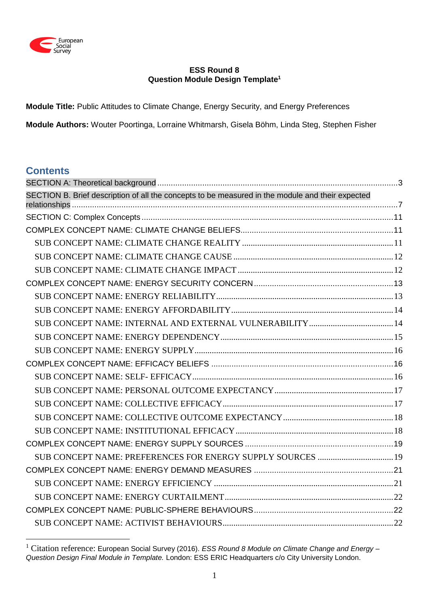

## **ESS Round 8 Question Module Design Template<sup>1</sup>**

**Module Title:** Public Attitudes to Climate Change, Energy Security, and Energy Preferences

**Module Authors:** Wouter Poortinga, Lorraine Whitmarsh, Gisela Böhm, Linda Steg, Stephen Fisher

# **Contents**

1

| SECTION B. Brief description of all the concepts to be measured in the module and their expected |  |
|--------------------------------------------------------------------------------------------------|--|
|                                                                                                  |  |
|                                                                                                  |  |
|                                                                                                  |  |
|                                                                                                  |  |
|                                                                                                  |  |
|                                                                                                  |  |
|                                                                                                  |  |
|                                                                                                  |  |
|                                                                                                  |  |
|                                                                                                  |  |
|                                                                                                  |  |
|                                                                                                  |  |
|                                                                                                  |  |
|                                                                                                  |  |
|                                                                                                  |  |
|                                                                                                  |  |
|                                                                                                  |  |
|                                                                                                  |  |
| SUB CONCEPT NAME: PREFERENCES FOR ENERGY SUPPLY SOURCES  19                                      |  |
|                                                                                                  |  |
|                                                                                                  |  |
|                                                                                                  |  |
|                                                                                                  |  |
|                                                                                                  |  |

<sup>1</sup> Citation reference: European Social Survey (2016). *ESS Round 8 Module on Climate Change and Energy – Question Design Final Module in Template.* London: ESS ERIC Headquarters c/o City University London.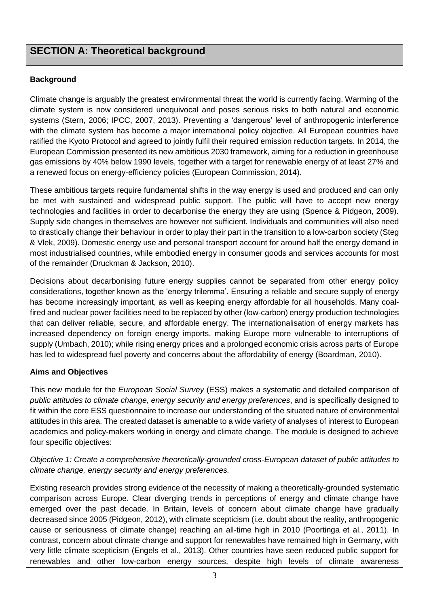# <span id="page-2-0"></span>**SECTION A: Theoretical background**

# **Background**

Climate change is arguably the greatest environmental threat the world is currently facing. Warming of the climate system is now considered unequivocal and poses serious risks to both natural and economic systems (Stern, 2006; IPCC, 2007, 2013). Preventing a 'dangerous' level of anthropogenic interference with the climate system has become a major international policy objective. All European countries have ratified the Kyoto Protocol and agreed to jointly fulfil their required emission reduction targets. In 2014, the European Commission presented its new ambitious 2030 framework, aiming for a reduction in greenhouse gas emissions by 40% below 1990 levels, together with a target for renewable energy of at least 27% and a renewed focus on energy-efficiency policies (European Commission, 2014).

These ambitious targets require fundamental shifts in the way energy is used and produced and can only be met with sustained and widespread public support. The public will have to accept new energy technologies and facilities in order to decarbonise the energy they are using (Spence & Pidgeon, 2009). Supply side changes in themselves are however not sufficient. Individuals and communities will also need to drastically change their behaviour in order to play their part in the transition to a low-carbon society (Steg & Vlek, 2009). Domestic energy use and personal transport account for around half the energy demand in most industrialised countries, while embodied energy in consumer goods and services accounts for most of the remainder (Druckman & Jackson, 2010).

Decisions about decarbonising future energy supplies cannot be separated from other energy policy considerations, together known as the 'energy trilemma'. Ensuring a reliable and secure supply of energy has become increasingly important, as well as keeping energy affordable for all households. Many coalfired and nuclear power facilities need to be replaced by other (low-carbon) energy production technologies that can deliver reliable, secure, and affordable energy. The internationalisation of energy markets has increased dependency on foreign energy imports, making Europe more vulnerable to interruptions of supply (Umbach, 2010); while rising energy prices and a prolonged economic crisis across parts of Europe has led to widespread fuel poverty and concerns about the affordability of energy (Boardman, 2010).

# **Aims and Objectives**

This new module for the *European Social Survey* (ESS) makes a systematic and detailed comparison of *public attitudes to climate change, energy security and energy preferences*, and is specifically designed to fit within the core ESS questionnaire to increase our understanding of the situated nature of environmental attitudes in this area. The created dataset is amenable to a wide variety of analyses of interest to European academics and policy-makers working in energy and climate change. The module is designed to achieve four specific objectives:

*Objective 1: Create a comprehensive theoretically-grounded cross-European dataset of public attitudes to climate change, energy security and energy preferences.*

Existing research provides strong evidence of the necessity of making a theoretically-grounded systematic comparison across Europe. Clear diverging trends in perceptions of energy and climate change have emerged over the past decade. In Britain, levels of concern about climate change have gradually decreased since 2005 (Pidgeon, 2012), with climate scepticism (i.e. doubt about the reality, anthropogenic cause or seriousness of climate change) reaching an all-time high in 2010 (Poortinga et al., 2011). In contrast, concern about climate change and support for renewables have remained high in Germany, with very little climate scepticism (Engels et al., 2013). Other countries have seen reduced public support for renewables and other low-carbon energy sources, despite high levels of climate awareness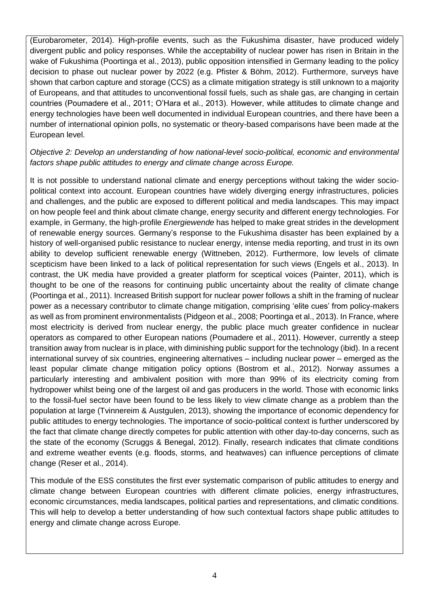(Eurobarometer, 2014). High-profile events, such as the Fukushima disaster, have produced widely divergent public and policy responses. While the acceptability of nuclear power has risen in Britain in the wake of Fukushima (Poortinga et al., 2013), public opposition intensified in Germany leading to the policy decision to phase out nuclear power by 2022 (e.g. Pfister & Böhm, 2012). Furthermore, surveys have shown that carbon capture and storage (CCS) as a climate mitigation strategy is still unknown to a majority of Europeans, and that attitudes to unconventional fossil fuels, such as shale gas, are changing in certain countries (Poumadere et al., 2011; O'Hara et al., 2013). However, while attitudes to climate change and energy technologies have been well documented in individual European countries, and there have been a number of international opinion polls, no systematic or theory-based comparisons have been made at the European level.

# *Objective 2: Develop an understanding of how national-level socio-political, economic and environmental factors shape public attitudes to energy and climate change across Europe.*

It is not possible to understand national climate and energy perceptions without taking the wider sociopolitical context into account. European countries have widely diverging energy infrastructures, policies and challenges, and the public are exposed to different political and media landscapes. This may impact on how people feel and think about climate change, energy security and different energy technologies. For example, in Germany, the high-profile *Energiewende* has helped to make great strides in the development of renewable energy sources. Germany's response to the Fukushima disaster has been explained by a history of well-organised public resistance to nuclear energy, intense media reporting, and trust in its own ability to develop sufficient renewable energy (Wittneben, 2012). Furthermore, low levels of climate scepticism have been linked to a lack of political representation for such views (Engels et al., 2013). In contrast, the UK media have provided a greater platform for sceptical voices (Painter, 2011), which is thought to be one of the reasons for continuing public uncertainty about the reality of climate change (Poortinga et al., 2011). Increased British support for nuclear power follows a shift in the framing of nuclear power as a necessary contributor to climate change mitigation, comprising 'elite cues' from policy-makers as well as from prominent environmentalists (Pidgeon et al., 2008; Poortinga et al., 2013). In France, where most electricity is derived from nuclear energy, the public place much greater confidence in nuclear operators as compared to other European nations (Poumadere et al., 2011). However, currently a steep transition away from nuclear is in place, with diminishing public support for the technology (ibid). In a recent international survey of six countries, engineering alternatives – including nuclear power – emerged as the least popular climate change mitigation policy options (Bostrom et al., 2012). Norway assumes a particularly interesting and ambivalent position with more than 99% of its electricity coming from hydropower whilst being one of the largest oil and gas producers in the world. Those with economic links to the fossil-fuel sector have been found to be less likely to view climate change as a problem than the population at large (Tvinnereim & Austgulen, 2013), showing the importance of economic dependency for public attitudes to energy technologies. The importance of socio-political context is further underscored by the fact that climate change directly competes for public attention with other day-to-day concerns, such as the state of the economy (Scruggs & Benegal, 2012). Finally, research indicates that climate conditions and extreme weather events (e.g. floods, storms, and heatwaves) can influence perceptions of climate change (Reser et al., 2014).

This module of the ESS constitutes the first ever systematic comparison of public attitudes to energy and climate change between European countries with different climate policies, energy infrastructures, economic circumstances, media landscapes, political parties and representations, and climatic conditions. This will help to develop a better understanding of how such contextual factors shape public attitudes to energy and climate change across Europe.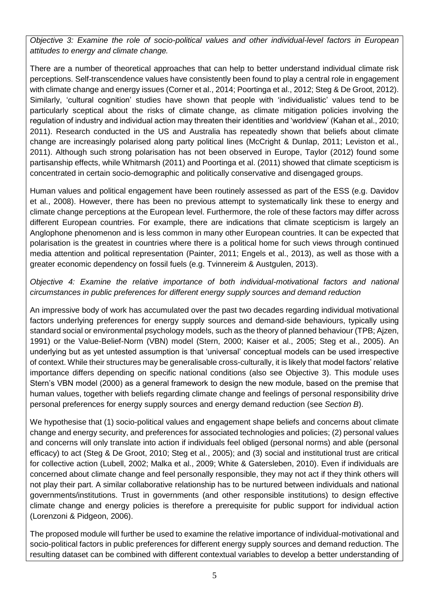*Objective 3: Examine the role of socio-political values and other individual-level factors in European attitudes to energy and climate change.*

There are a number of theoretical approaches that can help to better understand individual climate risk perceptions. Self-transcendence values have consistently been found to play a central role in engagement with climate change and energy issues (Corner et al., 2014; Poortinga et al., 2012; Steg & De Groot, 2012). Similarly, 'cultural cognition' studies have shown that people with 'individualistic' values tend to be particularly sceptical about the risks of climate change, as climate mitigation policies involving the regulation of industry and individual action may threaten their identities and 'worldview' (Kahan et al., 2010; 2011). Research conducted in the US and Australia has repeatedly shown that beliefs about climate change are increasingly polarised along party political lines (McCright & Dunlap, 2011; Leviston et al., 2011). Although such strong polarisation has not been observed in Europe, Taylor (2012) found some partisanship effects, while Whitmarsh (2011) and Poortinga et al. (2011) showed that climate scepticism is concentrated in certain socio-demographic and politically conservative and disengaged groups.

Human values and political engagement have been routinely assessed as part of the ESS (e.g. Davidov et al., 2008). However, there has been no previous attempt to systematically link these to energy and climate change perceptions at the European level. Furthermore, the role of these factors may differ across different European countries. For example, there are indications that climate scepticism is largely an Anglophone phenomenon and is less common in many other European countries. It can be expected that polarisation is the greatest in countries where there is a political home for such views through continued media attention and political representation (Painter, 2011; Engels et al., 2013), as well as those with a greater economic dependency on fossil fuels (e.g. Tvinnereim & Austgulen, 2013).

*Objective 4: Examine the relative importance of both individual-motivational factors and national circumstances in public preferences for different energy supply sources and demand reduction*

An impressive body of work has accumulated over the past two decades regarding individual motivational factors underlying preferences for energy supply sources and demand-side behaviours, typically using standard social or environmental psychology models, such as the theory of planned behaviour (TPB; Ajzen, 1991) or the Value-Belief-Norm (VBN) model (Stern, 2000; Kaiser et al., 2005; Steg et al., 2005). An underlying but as yet untested assumption is that 'universal' conceptual models can be used irrespective of context. While their structures may be generalisable cross-culturally, it is likely that model factors' relative importance differs depending on specific national conditions (also see Objective 3). This module uses Stern's VBN model (2000) as a general framework to design the new module, based on the premise that human values, together with beliefs regarding climate change and feelings of personal responsibility drive personal preferences for energy supply sources and energy demand reduction (see *Section B*).

We hypothesise that (1) socio-political values and engagement shape beliefs and concerns about climate change and energy security, and preferences for associated technologies and policies; (2) personal values and concerns will only translate into action if individuals feel obliged (personal norms) and able (personal efficacy) to act (Steg & De Groot, 2010; Steg et al., 2005); and (3) social and institutional trust are critical for collective action (Lubell, 2002; Malka et al., 2009; White & Gatersleben, 2010). Even if individuals are concerned about climate change and feel personally responsible, they may not act if they think others will not play their part. A similar collaborative relationship has to be nurtured between individuals and national governments/institutions. Trust in governments (and other responsible institutions) to design effective climate change and energy policies is therefore a prerequisite for public support for individual action (Lorenzoni & Pidgeon, 2006).

The proposed module will further be used to examine the relative importance of individual-motivational and socio-political factors in public preferences for different energy supply sources and demand reduction. The resulting dataset can be combined with different contextual variables to develop a better understanding of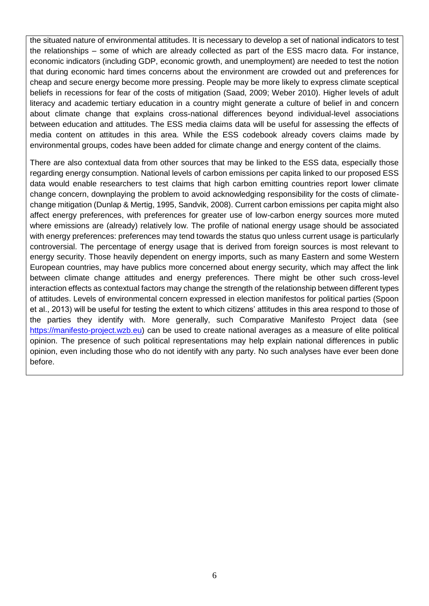the situated nature of environmental attitudes. It is necessary to develop a set of national indicators to test the relationships – some of which are already collected as part of the ESS macro data. For instance, economic indicators (including GDP, economic growth, and unemployment) are needed to test the notion that during economic hard times concerns about the environment are crowded out and preferences for cheap and secure energy become more pressing. People may be more likely to express climate sceptical beliefs in recessions for fear of the costs of mitigation (Saad, 2009; Weber 2010). Higher levels of adult literacy and academic tertiary education in a country might generate a culture of belief in and concern about climate change that explains cross-national differences beyond individual-level associations between education and attitudes. The ESS media claims data will be useful for assessing the effects of media content on attitudes in this area. While the ESS codebook already covers claims made by environmental groups, codes have been added for climate change and energy content of the claims.

There are also contextual data from other sources that may be linked to the ESS data, especially those regarding energy consumption. National levels of carbon emissions per capita linked to our proposed ESS data would enable researchers to test claims that high carbon emitting countries report lower climate change concern, downplaying the problem to avoid acknowledging responsibility for the costs of climatechange mitigation (Dunlap & Mertig, 1995, Sandvik, 2008). Current carbon emissions per capita might also affect energy preferences, with preferences for greater use of low-carbon energy sources more muted where emissions are (already) relatively low. The profile of national energy usage should be associated with energy preferences: preferences may tend towards the status quo unless current usage is particularly controversial. The percentage of energy usage that is derived from foreign sources is most relevant to energy security. Those heavily dependent on energy imports, such as many Eastern and some Western European countries, may have publics more concerned about energy security, which may affect the link between climate change attitudes and energy preferences. There might be other such cross-level interaction effects as contextual factors may change the strength of the relationship between different types of attitudes. Levels of environmental concern expressed in election manifestos for political parties (Spoon et al., 2013) will be useful for testing the extent to which citizens' attitudes in this area respond to those of the parties they identify with. More generally, such Comparative Manifesto Project data (see [https://manifesto-project.wzb.eu\)](https://manifesto-project.wzb.eu/) can be used to create national averages as a measure of elite political opinion. The presence of such political representations may help explain national differences in public opinion, even including those who do not identify with any party. No such analyses have ever been done before.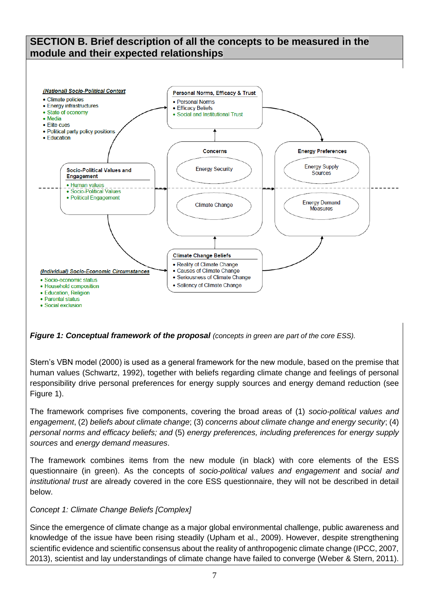# <span id="page-6-0"></span>**SECTION B. Brief description of all the concepts to be measured in the module and their expected relationships**



*Figure 1: Conceptual framework of the proposal (concepts in green are part of the core ESS).* 

Stern's VBN model (2000) is used as a general framework for the new module, based on the premise that human values (Schwartz, 1992), together with beliefs regarding climate change and feelings of personal responsibility drive personal preferences for energy supply sources and energy demand reduction (see Figure 1).

The framework comprises five components, covering the broad areas of (1) *socio-political values and engagement*, (2) *beliefs about climate change*; (3) *concerns about climate change and energy security*; (4) *personal norms and efficacy beliefs; and* (5) *energy preferences, including preferences for energy supply sources* and *energy demand measures*.

The framework combines items from the new module (in black) with core elements of the ESS questionnaire (in green). As the concepts of *socio-political values and engagement* and *social and institutional trust* are already covered in the core ESS questionnaire, they will not be described in detail below.

# *Concept 1: Climate Change Beliefs [Complex]*

Since the emergence of climate change as a major global environmental challenge, public awareness and knowledge of the issue have been rising steadily (Upham et al., 2009). However, despite strengthening scientific evidence and scientific consensus about the reality of anthropogenic climate change (IPCC, 2007, 2013), scientist and lay understandings of climate change have failed to converge (Weber & Stern, 2011).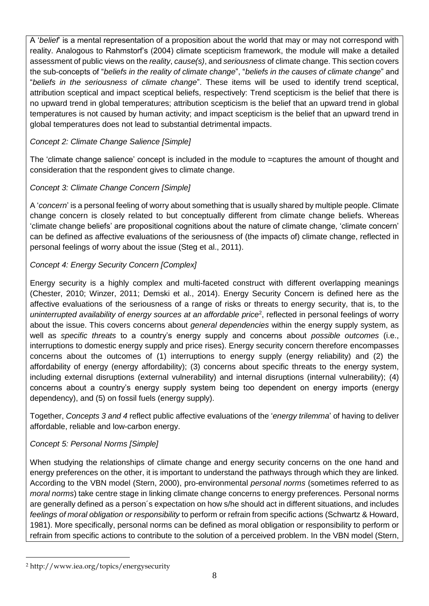A '*belief*' is a mental representation of a proposition about the world that may or may not correspond with reality. Analogous to Rahmstorf's (2004) climate scepticism framework, the module will make a detailed assessment of public views on the *reality*, *cause(s)*, and *seriousness* of climate change. This section covers the sub-concepts of "*beliefs in the reality of climate change*", "*beliefs in the causes of climate change*" and "*beliefs in the seriousness of climate change*". These items will be used to identify trend sceptical, attribution sceptical and impact sceptical beliefs, respectively: Trend scepticism is the belief that there is no upward trend in global temperatures; attribution scepticism is the belief that an upward trend in global temperatures is not caused by human activity; and impact scepticism is the belief that an upward trend in global temperatures does not lead to substantial detrimental impacts.

# *Concept 2: Climate Change Salience [Simple]*

The 'climate change salience' concept is included in the module to =captures the amount of thought and consideration that the respondent gives to climate change.

# *Concept 3: Climate Change Concern [Simple]*

A '*concern*' is a personal feeling of worry about something that is usually shared by multiple people. Climate change concern is closely related to but conceptually different from climate change beliefs. Whereas 'climate change beliefs' are propositional cognitions about the nature of climate change, 'climate concern' can be defined as affective evaluations of the seriousness of (the impacts of) climate change, reflected in personal feelings of worry about the issue (Steg et al., 2011).

# *Concept 4: Energy Security Concern [Complex]*

Energy security is a highly complex and multi-faceted construct with different overlapping meanings (Chester, 2010; Winzer, 2011; Demski et al., 2014). Energy Security Concern is defined here as the affective evaluations of the seriousness of a range of risks or threats to energy security, that is, to the uninterrupted availability of energy sources at an affordable price<sup>2</sup>, reflected in personal feelings of worry about the issue. This covers concerns about *general dependencies* within the energy supply system, as well as *specific threats* to a country's energy supply and concerns about *possible outcomes* (i.e., interruptions to domestic energy supply and price rises). Energy security concern therefore encompasses concerns about the outcomes of (1) interruptions to energy supply (energy reliability) and (2) the affordability of energy (energy affordability); (3) concerns about specific threats to the energy system, including external disruptions (external vulnerability) and internal disruptions (internal vulnerability); (4) concerns about a country's energy supply system being too dependent on energy imports (energy dependency), and (5) on fossil fuels (energy supply).

Together, *Concepts 3 and 4* reflect public affective evaluations of the '*energy trilemma*' of having to deliver affordable, reliable and low-carbon energy.

# *Concept 5: Personal Norms [Simple]*

When studying the relationships of climate change and energy security concerns on the one hand and energy preferences on the other, it is important to understand the pathways through which they are linked. According to the VBN model (Stern, 2000), pro-environmental *personal norms* (sometimes referred to as *moral norms*) take centre stage in linking climate change concerns to energy preferences. Personal norms are generally defined as a person´s expectation on how s/he should act in different situations, and includes *feelings of moral obligation or responsibility* to perform or refrain from specific actions (Schwartz & Howard, 1981). More specifically, personal norms can be defined as moral obligation or responsibility to perform or refrain from specific actions to contribute to the solution of a perceived problem. In the VBN model (Stern,

<u>.</u>

<sup>2</sup> http://www.iea.org/topics/energysecurity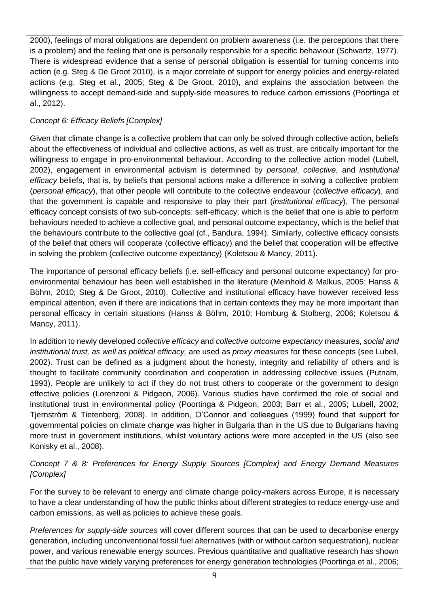2000), feelings of moral obligations are dependent on problem awareness (i.e. the perceptions that there is a problem) and the feeling that one is personally responsible for a specific behaviour (Schwartz, 1977). There is widespread evidence that a sense of personal obligation is essential for turning concerns into action (e.g. Steg & De Groot 2010), is a major correlate of support for energy policies and energy-related actions (e.g. Steg et al., 2005; Steg & De Groot, 2010), and explains the association between the willingness to accept demand-side and supply-side measures to reduce carbon emissions (Poortinga et al., 2012).

# *Concept 6: Efficacy Beliefs [Complex]*

Given that climate change is a collective problem that can only be solved through collective action, beliefs about the effectiveness of individual and collective actions, as well as trust, are critically important for the willingness to engage in pro-environmental behaviour. According to the collective action model (Lubell, 2002), engagement in environmental activism is determined by *personal*, *collective*, and *institutional efficacy* beliefs, that is, by beliefs that personal actions make a difference in solving a collective problem (*personal efficacy*), that other people will contribute to the collective endeavour (*collective efficacy*), and that the government is capable and responsive to play their part (*institutional efficacy*). The personal efficacy concept consists of two sub-concepts: self-efficacy, which is the belief that one is able to perform behaviours needed to achieve a collective goal, and personal outcome expectancy, which is the belief that the behaviours contribute to the collective goal (cf., Bandura, 1994). Similarly, collective efficacy consists of the belief that others will cooperate (collective efficacy) and the belief that cooperation will be effective in solving the problem (collective outcome expectancy) (Koletsou & Mancy, 2011).

The importance of personal efficacy beliefs (i.e. self-efficacy and personal outcome expectancy) for proenvironmental behaviour has been well established in the literature (Meinhold & Malkus, 2005; Hanss & Böhm, 2010; Steg & De Groot, 2010). Collective and institutional efficacy have however received less empirical attention, even if there are indications that in certain contexts they may be more important than personal efficacy in certain situations (Hanss & Böhm, 2010; Homburg & Stolberg, 2006; Koletsou & Mancy, 2011).

In addition to newly developed *collective efficacy* and *collective outcome expectancy* measures, *social and institutional trust, as well as political efficacy,* are used as *proxy measures* for these concepts (see Lubell, 2002). Trust can be defined as a judgment about the honesty, integrity and reliability of others and is thought to facilitate community coordination and cooperation in addressing collective issues (Putnam, 1993). People are unlikely to act if they do not trust others to cooperate or the government to design effective policies (Lorenzoni & Pidgeon, 2006). Various studies have confirmed the role of social and institutional trust in environmental policy (Poortinga & Pidgeon, 2003; Barr et al., 2005; Lubell, 2002; Tjernström & Tietenberg, 2008). In addition, O'Connor and colleagues (1999) found that support for governmental policies on climate change was higher in Bulgaria than in the US due to Bulgarians having more trust in government institutions, whilst voluntary actions were more accepted in the US (also see Konisky et al., 2008).

*Concept 7 & 8: Preferences for Energy Supply Sources [Complex] and Energy Demand Measures [Complex]*

For the survey to be relevant to energy and climate change policy-makers across Europe, it is necessary to have a clear understanding of how the public thinks about different strategies to reduce energy-use and carbon emissions, as well as policies to achieve these goals.

*Preferences for supply-side sources* will cover different sources that can be used to decarbonise energy generation, including unconventional fossil fuel alternatives (with or without carbon sequestration), nuclear power, and various renewable energy sources. Previous quantitative and qualitative research has shown that the public have widely varying preferences for energy generation technologies (Poortinga et al., 2006;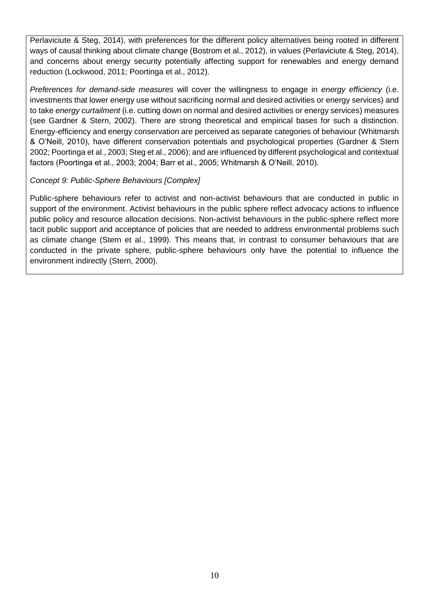Perlaviciute & Steg, 2014), with preferences for the different policy alternatives being rooted in different ways of causal thinking about climate change (Bostrom et al., 2012), in values (Perlaviciute & Steg, 2014), and concerns about energy security potentially affecting support for renewables and energy demand reduction (Lockwood, 2011; Poortinga et al., 2012).

*Preferences for demand-side measures* will cover the willingness to engage in *energy efficiency* (i.e. investments that lower energy use without sacrificing normal and desired activities or energy services) and to take *energy curtailment* (i.e. cutting down on normal and desired activities or energy services) measures (see Gardner & Stern, 2002). There are strong theoretical and empirical bases for such a distinction. Energy-efficiency and energy conservation are perceived as separate categories of behaviour (Whitmarsh & O'Neill, 2010), have different conservation potentials and psychological properties (Gardner & Stern 2002; Poortinga et al., 2003; Steg et al., 2006); and are influenced by different psychological and contextual factors (Poortinga et al., 2003; 2004; Barr et al., 2005; Whitmarsh & O'Neill, 2010).

#### *Concept 9: Public-Sphere Behaviours [Complex]*

Public-sphere behaviours refer to activist and non-activist behaviours that are conducted in public in support of the environment. Activist behaviours in the public sphere reflect advocacy actions to influence public policy and resource allocation decisions. Non-activist behaviours in the public-sphere reflect more tacit public support and acceptance of policies that are needed to address environmental problems such as climate change (Stern et al., 1999). This means that, in contrast to consumer behaviours that are conducted in the private sphere, public-sphere behaviours only have the potential to influence the environment indirectly (Stern, 2000).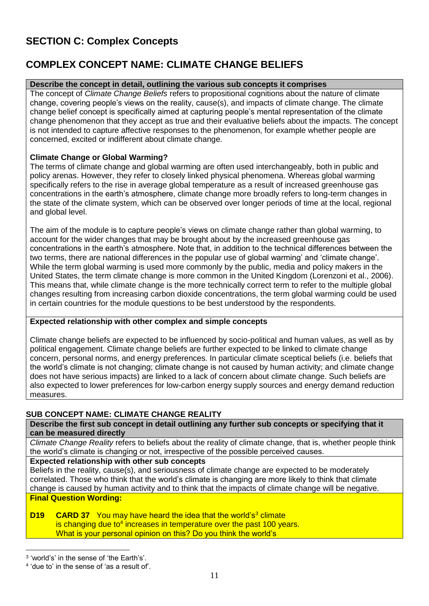# <span id="page-10-0"></span>**SECTION C: Complex Concepts**

# <span id="page-10-1"></span>**COMPLEX CONCEPT NAME: CLIMATE CHANGE BELIEFS**

#### **Describe the concept in detail, outlining the various sub concepts it comprises**

The concept of *Climate Change Beliefs* refers to propositional cognitions about the nature of climate change, covering people's views on the reality, cause(s), and impacts of climate change. The climate change belief concept is specifically aimed at capturing people's mental representation of the climate change phenomenon that they accept as true and their evaluative beliefs about the impacts. The concept is not intended to capture affective responses to the phenomenon, for example whether people are concerned, excited or indifferent about climate change.

# **Climate Change or Global Warming?**

The terms of climate change and global warming are often used interchangeably, both in public and policy arenas. However, they refer to closely linked physical phenomena. Whereas global warming specifically refers to the rise in average global temperature as a result of increased greenhouse gas concentrations in the earth's atmosphere, climate change more broadly refers to long-term changes in the state of the climate system, which can be observed over longer periods of time at the local, regional and global level.

The aim of the module is to capture people's views on climate change rather than global warming, to account for the wider changes that may be brought about by the increased greenhouse gas concentrations in the earth's atmosphere. Note that, in addition to the technical differences between the two terms, there are national differences in the popular use of global warming' and 'climate change'. While the term global warming is used more commonly by the public, media and policy makers in the United States, the term climate change is more common in the United Kingdom (Lorenzoni et al., 2006). This means that, while climate change is the more technically correct term to refer to the multiple global changes resulting from increasing carbon dioxide concentrations, the term global warming could be used in certain countries for the module questions to be best understood by the respondents.

#### **Expected relationship with other complex and simple concepts**

Climate change beliefs are expected to be influenced by socio-political and human values, as well as by political engagement. Climate change beliefs are further expected to be linked to climate change concern, personal norms, and energy preferences. In particular climate sceptical beliefs (i.e. beliefs that the world's climate is not changing; climate change is not caused by human activity; and climate change does not have serious impacts) are linked to a lack of concern about climate change. Such beliefs are also expected to lower preferences for low-carbon energy supply sources and energy demand reduction measures.

# <span id="page-10-2"></span>**SUB CONCEPT NAME: CLIMATE CHANGE REALITY**

#### **Describe the first sub concept in detail outlining any further sub concepts or specifying that it can be measured directly**

*Climate Change Reality* refers to beliefs about the reality of climate change, that is, whether people think the world's climate is changing or not, irrespective of the possible perceived causes.

#### **Expected relationship with other sub concepts**

Beliefs in the reality, cause(s), and seriousness of climate change are expected to be moderately correlated. Those who think that the world's climate is changing are more likely to think that climate change is caused by human activity and to think that the impacts of climate change will be negative. **Final Question Wording:**

#### **D19 CARD 37** You may have heard the idea that the world's<sup>3</sup> climate is changing due to<sup>4</sup> increases in temperature over the past 100 years. What is your personal opinion on this? Do you think the world's

<sup>&</sup>lt;u>.</u> 3 'world's' in the sense of 'the Earth's'.

<sup>4</sup> 'due to' in the sense of 'as a result of'.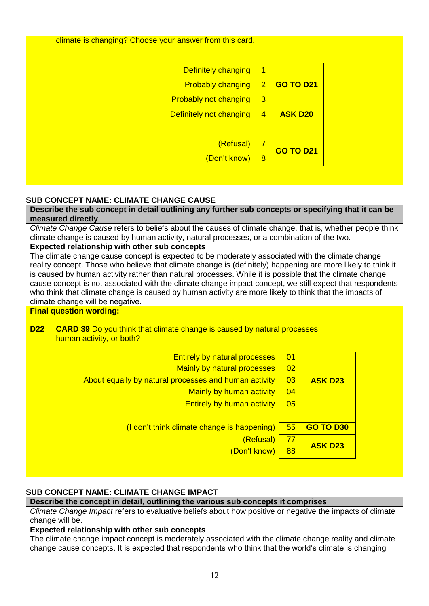

# <span id="page-11-0"></span>**SUB CONCEPT NAME: CLIMATE CHANGE CAUSE**

**Describe the sub concept in detail outlining any further sub concepts or specifying that it can be measured directly**

*Climate Change Cause* refers to beliefs about the causes of climate change, that is, whether people think climate change is caused by human activity, natural processes, or a combination of the two.

#### **Expected relationship with other sub concepts**

The climate change cause concept is expected to be moderately associated with the climate change reality concept. Those who believe that climate change is (definitely) happening are more likely to think it is caused by human activity rather than natural processes. While it is possible that the climate change cause concept is not associated with the climate change impact concept, we still expect that respondents who think that climate change is caused by human activity are more likely to think that the impacts of climate change will be negative.

# **Final question wording:**

#### **D22 CARD 39** Do you think that climate change is caused by natural processes, human activity, or both?

| <b>Entirely by natural processes</b><br><b>Mainly by natural processes</b><br>About equally by natural processes and human activity<br><b>Mainly by human activity</b><br><b>Entirely by human activity</b> | $\overline{01}$<br>02<br>03<br>04<br>05 | <b>ASK D23</b>   |  |
|-------------------------------------------------------------------------------------------------------------------------------------------------------------------------------------------------------------|-----------------------------------------|------------------|--|
| (I don't think climate change is happening)                                                                                                                                                                 | 55                                      | <b>GO TO D30</b> |  |
| (Refusal)                                                                                                                                                                                                   | -77                                     | <b>ASK D23</b>   |  |
| (Don't know)                                                                                                                                                                                                | 88                                      |                  |  |

# <span id="page-11-1"></span>**SUB CONCEPT NAME: CLIMATE CHANGE IMPACT**

## **Describe the concept in detail, outlining the various sub concepts it comprises**

*Climate Change Impact* refers to evaluative beliefs about how positive or negative the impacts of climate change will be.

# **Expected relationship with other sub concepts**

The climate change impact concept is moderately associated with the climate change reality and climate change cause concepts. It is expected that respondents who think that the world's climate is changing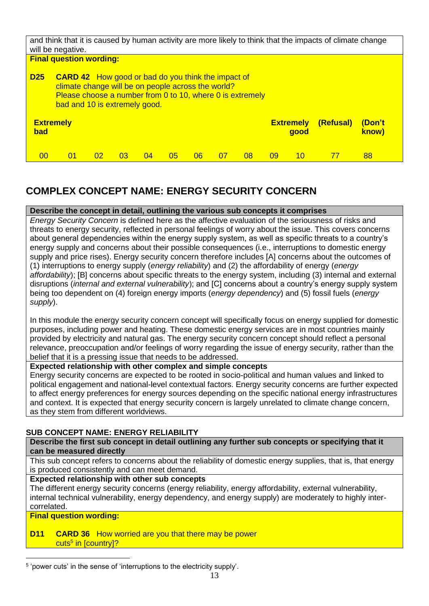|            | and think that it is caused by human activity are more likely to think that the impacts of climate change<br>will be negative.<br><b>Final question wording:</b>                                              |    |    |    |    |    |    |    |    |                          |                |                 |
|------------|---------------------------------------------------------------------------------------------------------------------------------------------------------------------------------------------------------------|----|----|----|----|----|----|----|----|--------------------------|----------------|-----------------|
| <b>D25</b> | <b>CARD 42</b> How good or bad do you think the impact of<br>climate change will be on people across the world?<br>Please choose a number from 0 to 10, where 0 is extremely<br>bad and 10 is extremely good. |    |    |    |    |    |    |    |    |                          |                |                 |
| bad        | <b>Extremely</b>                                                                                                                                                                                              |    |    |    |    |    |    |    |    | <b>Extremely</b><br>good | (Refusal)      | (Don't<br>know) |
| 00         | $^{01}$                                                                                                                                                                                                       | 02 | 03 | 04 | 05 | 06 | 07 | 08 | 09 | 10                       | $\prime\prime$ | 88              |

# <span id="page-12-0"></span>**COMPLEX CONCEPT NAME: ENERGY SECURITY CONCERN**

## **Describe the concept in detail, outlining the various sub concepts it comprises**

*Energy Security Concern* is defined here as the affective evaluation of the seriousness of risks and threats to energy security, reflected in personal feelings of worry about the issue. This covers concerns about general dependencies within the energy supply system, as well as specific threats to a country's energy supply and concerns about their possible consequences (i.e., interruptions to domestic energy supply and price rises). Energy security concern therefore includes [A] concerns about the outcomes of (1) interruptions to energy supply (*energy reliability*) and (2) the affordability of energy (*energy affordability*); [B] concerns about specific threats to the energy system, including (3) internal and external disruptions (*internal and external vulnerability*); and [C] concerns about a country's energy supply system being too dependent on (4) foreign energy imports (*energy dependency*) and (5) fossil fuels (*energy supply*).

In this module the energy security concern concept will specifically focus on energy supplied for domestic purposes, including power and heating. These domestic energy services are in most countries mainly provided by electricity and natural gas. The energy security concern concept should reflect a personal relevance, preoccupation and/or feelings of worry regarding the issue of energy security, rather than the belief that it is a pressing issue that needs to be addressed.

### **Expected relationship with other complex and simple concepts**

Energy security concerns are expected to be rooted in socio-political and human values and linked to political engagement and national-level contextual factors. Energy security concerns are further expected to affect energy preferences for energy sources depending on the specific national energy infrastructures and context. It is expected that energy security concern is largely unrelated to climate change concern, as they stem from different worldviews.

# <span id="page-12-1"></span>**SUB CONCEPT NAME: ENERGY RELIABILITY**

#### **Describe the first sub concept in detail outlining any further sub concepts or specifying that it can be measured directly**

This sub concept refers to concerns about the reliability of domestic energy supplies, that is, that energy is produced consistently and can meet demand.

#### **Expected relationship with other sub concepts**

The different energy security concerns (energy reliability, energy affordability, external vulnerability, internal technical vulnerability, energy dependency, and energy supply) are moderately to highly intercorrelated.

# **Final question wording:**

**D11 CARD 36** How worried are you that there may be power <mark>cuts<sup>5</sup> in [country]?</mark>

<sup>1</sup> 5 'power cuts' in the sense of 'interruptions to the electricity supply'.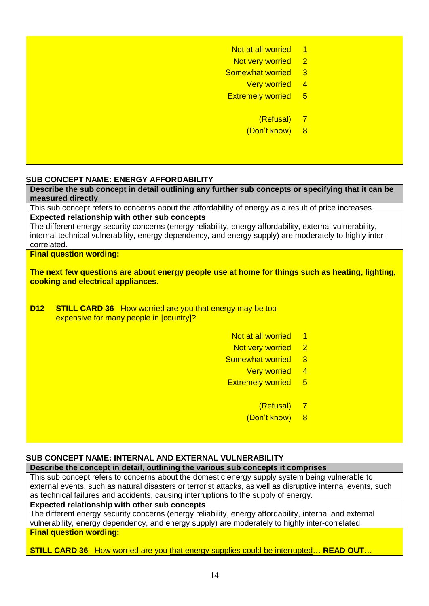#### <span id="page-13-0"></span>**SUB CONCEPT NAME: ENERGY AFFORDABILITY**

**Describe the sub concept in detail outlining any further sub concepts or specifying that it can be measured directly**

This sub concept refers to concerns about the affordability of energy as a result of price increases. **Expected relationship with other sub concepts**

The different energy security concerns (energy reliability, energy affordability, external vulnerability, internal technical vulnerability, energy dependency, and energy supply) are moderately to highly intercorrelated.

#### **Final question wording:**

**The next few questions are about energy people use at home for things such as heating, lighting, cooking and electrical appliances**.

- **D12 STILL CARD 36** How worried are you that energy may be too expensive for many people in [country]?
	- Not at all worried 1
	- Not very worried 2
	- Somewhat worried 3
		- Very worried 4
	- Extremely worried 5
		- (Refusal) 7
		- (Don't know) 8

#### <span id="page-13-1"></span>**SUB CONCEPT NAME: INTERNAL AND EXTERNAL VULNERABILITY**

**Describe the concept in detail, outlining the various sub concepts it comprises** This sub concept refers to concerns about the domestic energy supply system being vulnerable to external events, such as natural disasters or terrorist attacks, as well as disruptive internal events, such as technical failures and accidents, causing interruptions to the supply of energy.

#### **Expected relationship with other sub concepts**

The different energy security concerns (energy reliability, energy affordability, internal and external vulnerability, energy dependency, and energy supply) are moderately to highly inter-correlated. **Final question wording:**

**STILL CARD 36** How worried are you that energy supplies could be interrupted… **READ OUT**…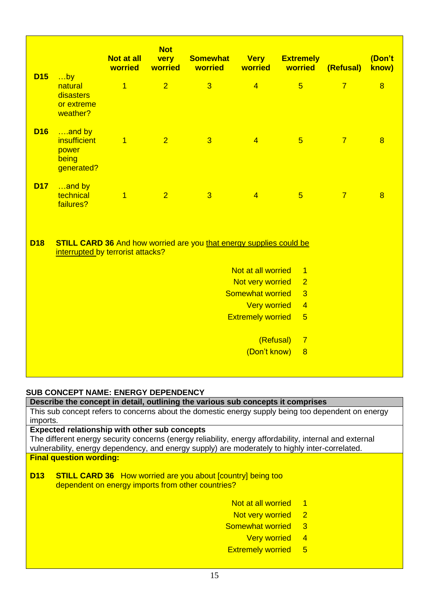|            |                                                               | <b>Not at all</b><br>worried | <b>Not</b><br>very<br>worried | <b>Somewhat</b><br>worried                                                 | <b>Very</b><br>worried   | <b>Extremely</b><br>worried | (Refusal)      | (Don't<br>know) |
|------------|---------------------------------------------------------------|------------------------------|-------------------------------|----------------------------------------------------------------------------|--------------------------|-----------------------------|----------------|-----------------|
| <b>D15</b> | $\ldots$ by<br>natural<br>disasters<br>or extreme<br>weather? | $\overline{1}$               | $\overline{2}$                | $\overline{3}$                                                             | $\overline{4}$           | $5\overline{)}$             | $\overline{7}$ | $\overline{8}$  |
| <b>D16</b> | and by<br><i>insufficient</i><br>power<br>being<br>generated? | $\overline{1}$               | $\overline{2}$                | $\overline{3}$                                                             | $\overline{4}$           | $5\overline{)}$             | $\overline{7}$ | $\overline{8}$  |
| <b>D17</b> | and by<br>technical<br>failures?                              | $\overline{1}$               | $\overline{2}$                | $\overline{3}$                                                             | $\overline{4}$           | $5\overline{)}$             | $\overline{7}$ | $\overline{8}$  |
| <b>D18</b> | interrupted by terrorist attacks?                             |                              |                               | <b>STILL CARD 36 And how worried are you that energy supplies could be</b> |                          |                             |                |                 |
|            |                                                               |                              |                               |                                                                            | Not at all worried       | $\overline{1}$              |                |                 |
|            |                                                               |                              |                               |                                                                            | Not very worried         | $\overline{2}$              |                |                 |
|            |                                                               |                              |                               |                                                                            | <b>Somewhat worried</b>  | $\overline{3}$              |                |                 |
|            |                                                               |                              |                               |                                                                            | <b>Very worried</b>      | $\overline{4}$              |                |                 |
|            |                                                               |                              |                               |                                                                            | <b>Extremely worried</b> | $\overline{5}$              |                |                 |
|            |                                                               |                              |                               |                                                                            | (Refusal)                | $\overline{7}$              |                |                 |
|            |                                                               |                              |                               |                                                                            | (Don't know)             | 8                           |                |                 |
|            |                                                               |                              |                               |                                                                            |                          |                             |                |                 |

# <span id="page-14-0"></span>**SUB CONCEPT NAME: ENERGY DEPENDENCY**

#### **Describe the concept in detail, outlining the various sub concepts it comprises**

This sub concept refers to concerns about the domestic energy supply being too dependent on energy imports.

# **Expected relationship with other sub concepts**

The different energy security concerns (energy reliability, energy affordability, internal and external vulnerability, energy dependency, and energy supply) are moderately to highly inter-correlated. **Final question wording:**

- **D13 STILL CARD 36** How worried are you about [country] being too dependent on energy imports from other countries?
	- Not at all worried 1
	- Not very worried 2
	- Somewhat worried 3
		- Very worried 4
	- Extremely worried 5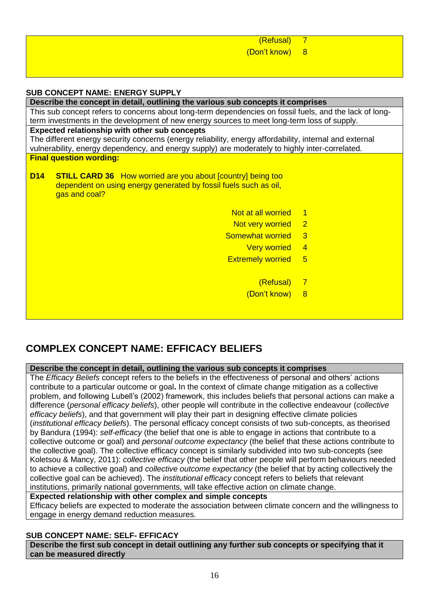<span id="page-15-0"></span>

| (Refusal)                                                                                                                              | $\overline{7}$           |
|----------------------------------------------------------------------------------------------------------------------------------------|--------------------------|
| (Don't know)                                                                                                                           | 8                        |
|                                                                                                                                        |                          |
|                                                                                                                                        |                          |
|                                                                                                                                        |                          |
| <b>SUB CONCEPT NAME: ENERGY SUPPLY</b>                                                                                                 |                          |
| Describe the concept in detail, outlining the various sub concepts it comprises                                                        |                          |
| This sub concept refers to concerns about long-term dependencies on fossil fuels, and the lack of long-                                |                          |
| term investments in the development of new energy sources to meet long-term loss of supply.                                            |                          |
| Expected relationship with other sub concepts                                                                                          |                          |
| The different energy security concerns (energy reliability, energy affordability, internal and external                                |                          |
| vulnerability, energy dependency, and energy supply) are moderately to highly inter-correlated.                                        |                          |
| <b>Final question wording:</b>                                                                                                         |                          |
| D <sub>14</sub>                                                                                                                        |                          |
| <b>STILL CARD 36</b> How worried are you about [country] being too<br>dependent on using energy generated by fossil fuels such as oil, |                          |
| gas and coal?                                                                                                                          |                          |
|                                                                                                                                        |                          |
| Not at all worried                                                                                                                     | $\blacksquare$ 1         |
| Not very worried                                                                                                                       | $\overline{\phantom{2}}$ |
| Somewhat worried                                                                                                                       | $\overline{3}$           |
|                                                                                                                                        |                          |
| <b>Very worried</b>                                                                                                                    | $\overline{4}$           |
| <b>Extremely worried</b>                                                                                                               | $5\overline{)}$          |
|                                                                                                                                        |                          |
| (Refusal)                                                                                                                              | - 7                      |
| (Don't know)                                                                                                                           | 8                        |
|                                                                                                                                        |                          |

# <span id="page-15-1"></span>**COMPLEX CONCEPT NAME: EFFICACY BELIEFS**

#### **Describe the concept in detail, outlining the various sub concepts it comprises**

The *Efficacy Beliefs* concept refers to the beliefs in the effectiveness of personal and others' actions contribute to a particular outcome or goal**.** In the context of climate change mitigation as a collective problem, and following Lubell's (2002) framework, this includes beliefs that personal actions can make a difference (*personal efficacy beliefs*), other people will contribute in the collective endeavour (*collective efficacy beliefs*), and that government will play their part in designing effective climate policies (*institutional efficacy beliefs*). The personal efficacy concept consists of two sub-concepts, as theorised by Bandura (1994): *self-efficacy* (the belief that one is able to engage in actions that contribute to a collective outcome or goal) and *personal outcome expectancy* (the belief that these actions contribute to the collective goal). The collective efficacy concept is similarly subdivided into two sub-concepts (see Koletsou & Mancy, 2011): *collective efficacy* (the belief that other people will perform behaviours needed to achieve a collective goal) and *collective outcome expectancy* (the belief that by acting collectively the collective goal can be achieved). The *institutional efficacy* concept refers to beliefs that relevant institutions, primarily national governments, will take effective action on climate change.

**Expected relationship with other complex and simple concepts**

Efficacy beliefs are expected to moderate the association between climate concern and the willingness to engage in energy demand reduction measures.

# <span id="page-15-2"></span>**SUB CONCEPT NAME: SELF- EFFICACY**

**Describe the first sub concept in detail outlining any further sub concepts or specifying that it can be measured directly**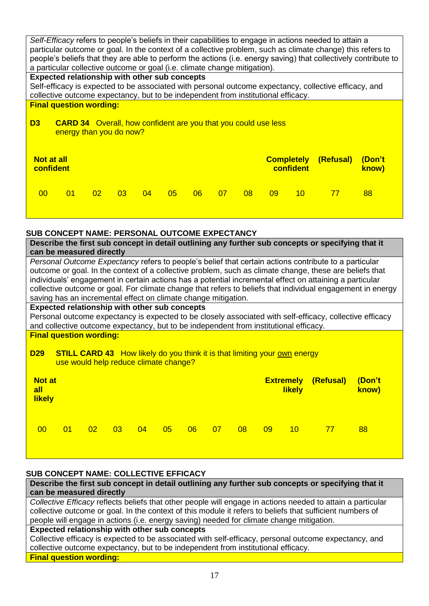| Self-Efficacy refers to people's beliefs in their capabilities to engage in actions needed to attain a<br>particular outcome or goal. In the context of a collective problem, such as climate change) this refers to<br>people's beliefs that they are able to perform the actions (i.e. energy saving) that collectively contribute to<br>a particular collective outcome or goal (i.e. climate change mitigation). |    |    |    |                   |                  |           |                 |  |
|----------------------------------------------------------------------------------------------------------------------------------------------------------------------------------------------------------------------------------------------------------------------------------------------------------------------------------------------------------------------------------------------------------------------|----|----|----|-------------------|------------------|-----------|-----------------|--|
| <b>Expected relationship with other sub concepts</b>                                                                                                                                                                                                                                                                                                                                                                 |    |    |    |                   |                  |           |                 |  |
| Self-efficacy is expected to be associated with personal outcome expectancy, collective efficacy, and                                                                                                                                                                                                                                                                                                                |    |    |    |                   |                  |           |                 |  |
| collective outcome expectancy, but to be independent from institutional efficacy.                                                                                                                                                                                                                                                                                                                                    |    |    |    |                   |                  |           |                 |  |
| <b>Final question wording:</b>                                                                                                                                                                                                                                                                                                                                                                                       |    |    |    |                   |                  |           |                 |  |
| D <sub>3</sub><br><b>CARD 34</b> Overall, how confident are you that you could use less<br>energy than you do now?                                                                                                                                                                                                                                                                                                   |    |    |    |                   |                  |           |                 |  |
| <b>Not at all</b><br>confident                                                                                                                                                                                                                                                                                                                                                                                       |    |    |    | <b>Completely</b> | <b>confident</b> | (Refusal) | (Don't<br>know) |  |
| 05<br>01<br>02 <sub>2</sub><br>03<br>$\Omega$<br>00 <sup>°</sup>                                                                                                                                                                                                                                                                                                                                                     | 06 | 07 | 08 | 09                | 10               | 77        | 88              |  |

#### <span id="page-16-0"></span>**SUB CONCEPT NAME: PERSONAL OUTCOME EXPECTANCY**

|                                                                                                                                                                                                                                                                                                                                                                                                                                                                                                             | Describe the first sub concept in detail outlining any further sub concepts or specifying that it<br>can be measured directly                                      |                 |    |    |    |    |    |    |    |                                   |                                                                                                          |                         |
|-------------------------------------------------------------------------------------------------------------------------------------------------------------------------------------------------------------------------------------------------------------------------------------------------------------------------------------------------------------------------------------------------------------------------------------------------------------------------------------------------------------|--------------------------------------------------------------------------------------------------------------------------------------------------------------------|-----------------|----|----|----|----|----|----|----|-----------------------------------|----------------------------------------------------------------------------------------------------------|-------------------------|
| Personal Outcome Expectancy refers to people's belief that certain actions contribute to a particular<br>outcome or goal. In the context of a collective problem, such as climate change, these are beliefs that<br>individuals' engagement in certain actions has a potential incremental effect on attaining a particular<br>collective outcome or goal. For climate change that refers to beliefs that individual engagement in energy<br>saving has an incremental effect on climate change mitigation. |                                                                                                                                                                    |                 |    |    |    |    |    |    |    |                                   |                                                                                                          |                         |
| <b>Expected relationship with other sub concepts</b>                                                                                                                                                                                                                                                                                                                                                                                                                                                        |                                                                                                                                                                    |                 |    |    |    |    |    |    |    |                                   |                                                                                                          |                         |
|                                                                                                                                                                                                                                                                                                                                                                                                                                                                                                             |                                                                                                                                                                    |                 |    |    |    |    |    |    |    |                                   | Personal outcome expectancy is expected to be closely associated with self-efficacy, collective efficacy |                         |
| and collective outcome expectancy, but to be independent from institutional efficacy.                                                                                                                                                                                                                                                                                                                                                                                                                       |                                                                                                                                                                    |                 |    |    |    |    |    |    |    |                                   |                                                                                                          |                         |
| <b>D29</b>                                                                                                                                                                                                                                                                                                                                                                                                                                                                                                  | <b>Final question wording:</b><br><b>STILL CARD 43</b> How likely do you think it is that limiting your <u>own</u> energy<br>use would help reduce climate change? |                 |    |    |    |    |    |    |    |                                   |                                                                                                          |                         |
| <b>Not at</b><br>all<br><b>likely</b>                                                                                                                                                                                                                                                                                                                                                                                                                                                                       |                                                                                                                                                                    |                 |    |    |    |    |    |    |    | <b>Extremely</b><br><b>likely</b> | (Refusal)                                                                                                | <u> /bon't</u><br>know) |
| $00 \,$                                                                                                                                                                                                                                                                                                                                                                                                                                                                                                     | 01                                                                                                                                                                 | 02 <sub>1</sub> | 03 | 04 | 05 | 06 | 07 | 08 | 09 | 10 <sup>°</sup>                   | 77                                                                                                       | 88                      |

# <span id="page-16-1"></span>**SUB CONCEPT NAME: COLLECTIVE EFFICACY**

**Describe the first sub concept in detail outlining any further sub concepts or specifying that it can be measured directly**

*Collective Efficacy* reflects beliefs that other people will engage in actions needed to attain a particular collective outcome or goal. In the context of this module it refers to beliefs that sufficient numbers of people will engage in actions (i.e. energy saving) needed for climate change mitigation.

## **Expected relationship with other sub concepts**

Collective efficacy is expected to be associated with self-efficacy, personal outcome expectancy, and collective outcome expectancy, but to be independent from institutional efficacy.

# **Final question wording:**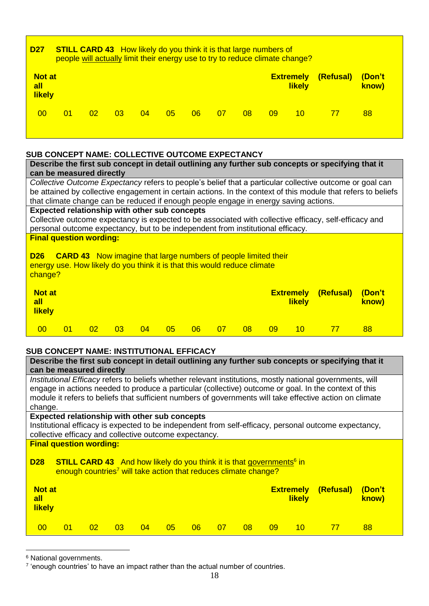| D <sub>27</sub>                       | <b>STILL CARD 43</b> How likely do you think it is that large numbers of<br>people will actually limit their energy use to try to reduce climate change? |                 |    |    |    |    |    |    |    |                                   |           |                 |  |
|---------------------------------------|----------------------------------------------------------------------------------------------------------------------------------------------------------|-----------------|----|----|----|----|----|----|----|-----------------------------------|-----------|-----------------|--|
| <b>Not at</b><br>all<br><b>likely</b> |                                                                                                                                                          |                 |    |    |    |    |    |    |    | <b>Extremely</b><br><b>likely</b> | (Refusal) | (Don't<br>know) |  |
| 00                                    | 01                                                                                                                                                       | 02 <sub>2</sub> | 03 | 04 | 05 | 06 | 07 | 08 | 09 | $10 \,$                           | 77        | 88              |  |

#### <span id="page-17-0"></span>**SUB CONCEPT NAME: COLLECTIVE OUTCOME EXPECTANCY**

| can be measured directly                                                                                                                                                                  |    |    |    |    |    |    |    |    |           |                                   | Describe the first sub concept in detail outlining any further sub concepts or specifying that it |                 |  |
|-------------------------------------------------------------------------------------------------------------------------------------------------------------------------------------------|----|----|----|----|----|----|----|----|-----------|-----------------------------------|---------------------------------------------------------------------------------------------------|-----------------|--|
| Collective Outcome Expectancy refers to people's belief that a particular collective outcome or goal can                                                                                  |    |    |    |    |    |    |    |    |           |                                   |                                                                                                   |                 |  |
| be attained by collective engagement in certain actions. In the context of this module that refers to beliefs                                                                             |    |    |    |    |    |    |    |    |           |                                   |                                                                                                   |                 |  |
| that climate change can be reduced if enough people engage in energy saving actions.<br>Expected relationship with other sub concepts                                                     |    |    |    |    |    |    |    |    |           |                                   |                                                                                                   |                 |  |
| Collective outcome expectancy is expected to be associated with collective efficacy, self-efficacy and<br>personal outcome expectancy, but to be independent from institutional efficacy. |    |    |    |    |    |    |    |    |           |                                   |                                                                                                   |                 |  |
| <b>Final question wording:</b>                                                                                                                                                            |    |    |    |    |    |    |    |    |           |                                   |                                                                                                   |                 |  |
| <b>CARD 43</b> Now imagine that large numbers of people limited their<br><b>D26</b><br>energy use. How likely do you think it is that this would reduce climate<br>change?                |    |    |    |    |    |    |    |    |           |                                   |                                                                                                   |                 |  |
| <b>Not at</b><br>all<br><b>likely</b>                                                                                                                                                     |    |    |    |    |    |    |    |    |           | <b>Extremely</b><br><b>likely</b> | (Refusal)                                                                                         | (Don't<br>know) |  |
| 00                                                                                                                                                                                        | 01 | 02 | 03 | 04 | 05 | 06 | 07 | 08 | <b>09</b> | 10                                | 77                                                                                                | 88              |  |

# <span id="page-17-1"></span>**SUB CONCEPT NAME: INSTITUTIONAL EFFICACY**

| Describe the first sub concept in detail outlining any further sub concepts or specifying that it         |
|-----------------------------------------------------------------------------------------------------------|
| can be measured directly                                                                                  |
| Institutional Efficacy refers to beliefs whether relevant institutions, mostly national governments, will |

engage in actions needed to produce a particular (collective) outcome or goal. In the context of this module it refers to beliefs that sufficient numbers of governments will take effective action on climate change.

# **Expected relationship with other sub concepts**

Institutional efficacy is expected to be independent from self-efficacy, personal outcome expectancy, collective efficacy and collective outcome expectancy.

# **Final question wording: D28** STILL CARD 43 And how likely do you think it is that governments<sup>6</sup> in

enough countries<sup>7</sup> will take action that reduces climate change?

| <b>Not at</b><br>all<br><b>likely</b> |    |    |    |    |    |    |                 |    |    | <b>Extremely</b><br><b>likely</b> | (Refusal) | (Don't<br>know) |  |
|---------------------------------------|----|----|----|----|----|----|-----------------|----|----|-----------------------------------|-----------|-----------------|--|
| 00                                    | 01 | 02 | 03 | 04 | 05 | 06 | 07 <sub>o</sub> | 08 | 09 | 10 <sup>1</sup>                   |           | 88              |  |

<sup>6</sup> National governments.

<u>.</u>

<sup>&</sup>lt;sup>7</sup> 'enough countries' to have an impact rather than the actual number of countries.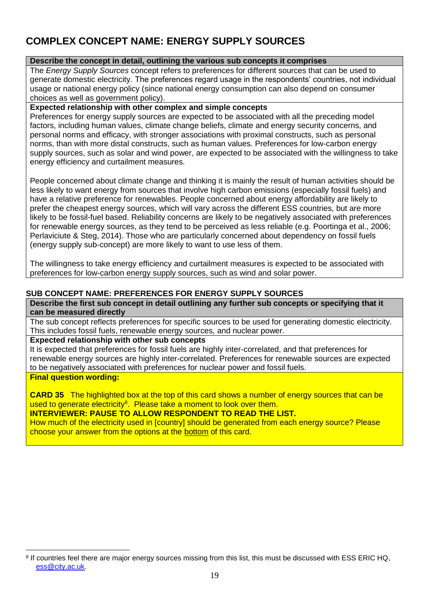# <span id="page-18-0"></span>**COMPLEX CONCEPT NAME: ENERGY SUPPLY SOURCES**

# **Describe the concept in detail, outlining the various sub concepts it comprises**

The *Energy Supply Sources* concept refers to preferences for different sources that can be used to generate domestic electricity. The preferences regard usage in the respondents' countries, not individual usage or national energy policy (since national energy consumption can also depend on consumer choices as well as government policy).

# **Expected relationship with other complex and simple concepts**

Preferences for energy supply sources are expected to be associated with all the preceding model factors, including human values, climate change beliefs, climate and energy security concerns, and personal norms and efficacy, with stronger associations with proximal constructs, such as personal norms, than with more distal constructs, such as human values. Preferences for low-carbon energy supply sources, such as solar and wind power, are expected to be associated with the willingness to take energy efficiency and curtailment measures.

People concerned about climate change and thinking it is mainly the result of human activities should be less likely to want energy from sources that involve high carbon emissions (especially fossil fuels) and have a relative preference for renewables. People concerned about energy affordability are likely to prefer the cheapest energy sources, which will vary across the different ESS countries, but are more likely to be fossil-fuel based. Reliability concerns are likely to be negatively associated with preferences for renewable energy sources, as they tend to be perceived as less reliable (e.g. Poortinga et al., 2006; Perlaviciute & Steg, 2014). Those who are particularly concerned about dependency on fossil fuels (energy supply sub-concept) are more likely to want to use less of them.

The willingness to take energy efficiency and curtailment measures is expected to be associated with preferences for low-carbon energy supply sources, such as wind and solar power.

# <span id="page-18-1"></span>**SUB CONCEPT NAME: PREFERENCES FOR ENERGY SUPPLY SOURCES**

**Describe the first sub concept in detail outlining any further sub concepts or specifying that it can be measured directly**

The sub concept reflects preferences for specific sources to be used for generating domestic electricity. This includes fossil fuels, renewable energy sources, and nuclear power.

#### **Expected relationship with other sub concepts**

It is expected that preferences for fossil fuels are highly inter-correlated, and that preferences for renewable energy sources are highly inter-correlated. Preferences for renewable sources are expected to be negatively associated with preferences for nuclear power and fossil fuels.

# **Final question wording:**

<u>.</u>

**CARD 35** The highlighted box at the top of this card shows a number of energy sources that can be used to generate electricity<sup>8</sup>. Please take a moment to look over them.

**INTERVIEWER: PAUSE TO ALLOW RESPONDENT TO READ THE LIST.**

How much of the electricity used in [country] should be generated from each energy source? Please choose your answer from the options at the bottom of this card.

<sup>&</sup>lt;sup>8</sup> If countries feel there are major energy sources missing from this list, this must be discussed with ESS ERIC HQ, [ess@city.ac.uk.](mailto:ess@city.ac.uk)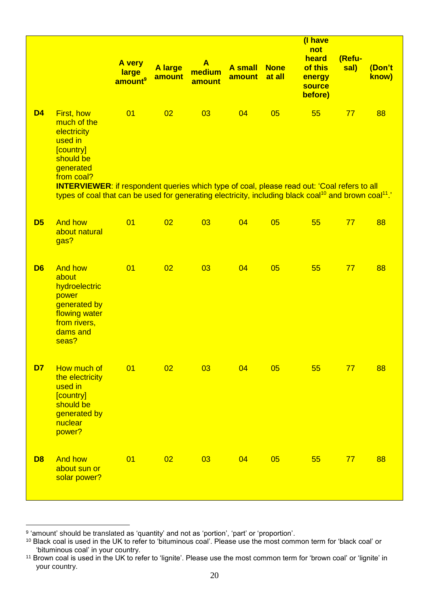|                |                                                                                                                                                                                                                                                                                                                                                | A very<br>large<br>amount <sup>9</sup> | A large<br>amount | $\mathbf{A}$<br>medium<br>amount | <b>A</b> small<br>amount | <b>None</b><br>at all | (I have<br>not<br>heard<br>of this<br>energy<br><b>source</b><br>before) | (Refu-<br>sal) | (Don't<br>know) |
|----------------|------------------------------------------------------------------------------------------------------------------------------------------------------------------------------------------------------------------------------------------------------------------------------------------------------------------------------------------------|----------------------------------------|-------------------|----------------------------------|--------------------------|-----------------------|--------------------------------------------------------------------------|----------------|-----------------|
| <b>D4</b>      | First, how<br>much of the<br>electricity<br>used in<br>[country]<br>should be<br>generated<br>from coal?<br><b>INTERVIEWER:</b> if respondent queries which type of coal, please read out: 'Coal refers to all<br>types of coal that can be used for generating electricity, including black coal <sup>10</sup> and brown coal <sup>11</sup> . | 01                                     | 02                | 03                               | 04                       | 05                    | 55                                                                       | 77             | 88              |
| D <sub>5</sub> | <b>And how</b><br>about natural<br>gas?                                                                                                                                                                                                                                                                                                        | 01                                     | 02                | 03                               | 04                       | 05                    | 55                                                                       | 77             | 88              |
| D <sub>6</sub> | <b>And how</b><br>about<br>hydroelectric<br>power<br>generated by<br>flowing water<br>from rivers,<br>dams and<br>seas?                                                                                                                                                                                                                        | 01                                     | 02                | 03                               | 04                       | 05                    | 55                                                                       | 77             | 88              |
| D <sub>7</sub> | How much of<br>the electricity<br>used in<br>[country]<br>should be<br>generated by<br>nuclear<br>power?                                                                                                                                                                                                                                       | 01                                     | 02                | 03                               | 04                       | 05                    | 55                                                                       | 77             | 88              |
| D <sub>8</sub> | <b>And how</b><br>about sun or<br>solar power?                                                                                                                                                                                                                                                                                                 | 01                                     | 02                | 03                               | 04                       | 05                    | 55                                                                       | 77             | 88              |

<sup>1</sup> <sup>9</sup> 'amount' should be translated as 'quantity' and not as 'portion', 'part' or 'proportion'.

<sup>&</sup>lt;sup>10</sup> Black coal is used in the UK to refer to 'bituminous coal'. Please use the most common term for 'black coal' or 'bituminous coal' in your country.

<sup>&</sup>lt;sup>11</sup> Brown coal is used in the UK to refer to 'lignite'. Please use the most common term for 'brown coal' or 'lignite' in your country.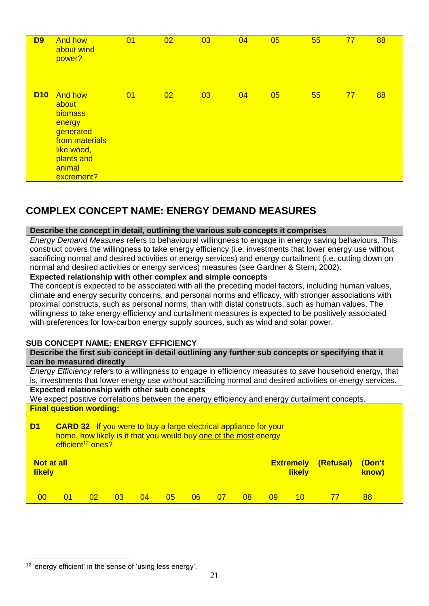| <b>D9</b>  | <b>And how</b><br>about wind<br>power?                                                                                          | 01 | 02 | 03 | 04 | 05 | 55 | 77 | 88 |
|------------|---------------------------------------------------------------------------------------------------------------------------------|----|----|----|----|----|----|----|----|
| <b>D10</b> | <b>And how</b><br>about<br>biomass<br>energy<br>generated<br>from materials<br>like wood,<br>plants and<br>animal<br>excrement? | 01 | 02 | 03 | 04 | 05 | 55 | 77 | 88 |

# <span id="page-20-0"></span>**COMPLEX CONCEPT NAME: ENERGY DEMAND MEASURES**

#### **Describe the concept in detail, outlining the various sub concepts it comprises**

*Energy Demand Measures* refers to behavioural willingness to engage in energy saving behaviours. This construct covers the willingness to take energy efficiency (i.e. investments that lower energy use without sacrificing normal and desired activities or energy services) and energy curtailment (i.e. cutting down on normal and desired activities or energy services) measures (see Gardner & Stern, 2002).

#### **Expected relationship with other complex and simple concepts**

The concept is expected to be associated with all the preceding model factors, including human values, climate and energy security concerns, and personal norms and efficacy, with stronger associations with proximal constructs, such as personal norms, than with distal constructs, such as human values. The willingness to take energy efficiency and curtailment measures is expected to be positively associated with preferences for low-carbon energy supply sources, such as wind and solar power.

#### <span id="page-20-1"></span>**SUB CONCEPT NAME: ENERGY EFFICIENCY**

**Describe the first sub concept in detail outlining any further sub concepts or specifying that it can be measured directly**

*Energy Efficiency* refers to a willingness to engage in efficiency measures to save household energy, that is, investments that lower energy use without sacrificing normal and desired activities or energy services. **Expected relationship with other sub concepts**

We expect positive correlations between the energy efficiency and energy curtailment concepts. **Final question wording:**

**D1 CARD 32** If you were to buy a large electrical appliance for your home, how likely is it that you would buy one of the most energy  $efficient<sup>12</sup> ones?$ 

| Not at all<br><b>likely</b> |    |    |    |    |    |    | <b>Extremely</b><br><b>likely</b> | (Refusal) (Don't | know) |    |    |    |  |
|-----------------------------|----|----|----|----|----|----|-----------------------------------|------------------|-------|----|----|----|--|
| 00                          | 01 | 02 | 03 | 04 | 05 | 06 | 07                                | 08               | 09    | 10 | 77 | 88 |  |

1

<sup>12</sup> 'energy efficient' in the sense of 'using less energy'.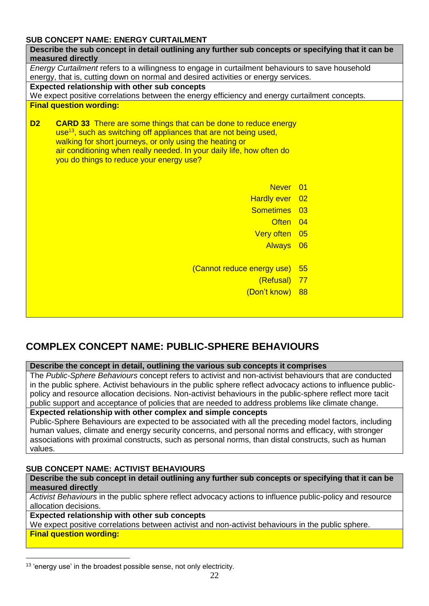# <span id="page-21-0"></span>**SUB CONCEPT NAME: ENERGY CURTAILMENT**

| 300 CONCEL I MAME. ENERGI CORTAIEMENT                                                                                                                                                                                                                                                                                                                      |  |  |  |  |  |  |  |  |
|------------------------------------------------------------------------------------------------------------------------------------------------------------------------------------------------------------------------------------------------------------------------------------------------------------------------------------------------------------|--|--|--|--|--|--|--|--|
| Describe the sub concept in detail outlining any further sub concepts or specifying that it can be                                                                                                                                                                                                                                                         |  |  |  |  |  |  |  |  |
| measured directly                                                                                                                                                                                                                                                                                                                                          |  |  |  |  |  |  |  |  |
| Energy Curtailment refers to a willingness to engage in curtailment behaviours to save household                                                                                                                                                                                                                                                           |  |  |  |  |  |  |  |  |
| energy, that is, cutting down on normal and desired activities or energy services.                                                                                                                                                                                                                                                                         |  |  |  |  |  |  |  |  |
| <b>Expected relationship with other sub concepts</b>                                                                                                                                                                                                                                                                                                       |  |  |  |  |  |  |  |  |
| We expect positive correlations between the energy efficiency and energy curtailment concepts.                                                                                                                                                                                                                                                             |  |  |  |  |  |  |  |  |
| <b>Final question wording:</b>                                                                                                                                                                                                                                                                                                                             |  |  |  |  |  |  |  |  |
| D <sub>2</sub><br><b>CARD 33</b> There are some things that can be done to reduce energy<br>use <sup>13</sup> , such as switching off appliances that are not being used,<br>walking for short journeys, or only using the heating or<br>air conditioning when really needed. In your daily life, how often do<br>you do things to reduce your energy use? |  |  |  |  |  |  |  |  |
| Never 01                                                                                                                                                                                                                                                                                                                                                   |  |  |  |  |  |  |  |  |
| Hardly ever 02                                                                                                                                                                                                                                                                                                                                             |  |  |  |  |  |  |  |  |
| Sometimes 03                                                                                                                                                                                                                                                                                                                                               |  |  |  |  |  |  |  |  |
| Often 04                                                                                                                                                                                                                                                                                                                                                   |  |  |  |  |  |  |  |  |
| Very often 05                                                                                                                                                                                                                                                                                                                                              |  |  |  |  |  |  |  |  |
|                                                                                                                                                                                                                                                                                                                                                            |  |  |  |  |  |  |  |  |
| Always 06                                                                                                                                                                                                                                                                                                                                                  |  |  |  |  |  |  |  |  |
|                                                                                                                                                                                                                                                                                                                                                            |  |  |  |  |  |  |  |  |
| (Cannot reduce energy use)<br>55                                                                                                                                                                                                                                                                                                                           |  |  |  |  |  |  |  |  |
| (Refusal) 77                                                                                                                                                                                                                                                                                                                                               |  |  |  |  |  |  |  |  |
| (Don't know) 88                                                                                                                                                                                                                                                                                                                                            |  |  |  |  |  |  |  |  |
|                                                                                                                                                                                                                                                                                                                                                            |  |  |  |  |  |  |  |  |
|                                                                                                                                                                                                                                                                                                                                                            |  |  |  |  |  |  |  |  |
|                                                                                                                                                                                                                                                                                                                                                            |  |  |  |  |  |  |  |  |

# <span id="page-21-1"></span>**COMPLEX CONCEPT NAME: PUBLIC-SPHERE BEHAVIOURS**

**Describe the concept in detail, outlining the various sub concepts it comprises**

The *Public-Sphere Behaviours* concept refers to activist and non-activist behaviours that are conducted in the public sphere. Activist behaviours in the public sphere reflect advocacy actions to influence publicpolicy and resource allocation decisions. Non-activist behaviours in the public-sphere reflect more tacit public support and acceptance of policies that are needed to address problems like climate change.

#### **Expected relationship with other complex and simple concepts**

Public-Sphere Behaviours are expected to be associated with all the preceding model factors, including human values, climate and energy security concerns, and personal norms and efficacy, with stronger associations with proximal constructs, such as personal norms, than distal constructs, such as human values.

# <span id="page-21-2"></span>**SUB CONCEPT NAME: ACTIVIST BEHAVIOURS**

**Describe the sub concept in detail outlining any further sub concepts or specifying that it can be measured directly**

*Activist Behaviours* in the public sphere reflect advocacy actions to influence public-policy and resource allocation decisions.

#### **Expected relationship with other sub concepts**

We expect positive correlations between activist and non-activist behaviours in the public sphere.

# **Final question wording:**

1

<sup>&</sup>lt;sup>13</sup> 'energy use' in the broadest possible sense, not only electricity.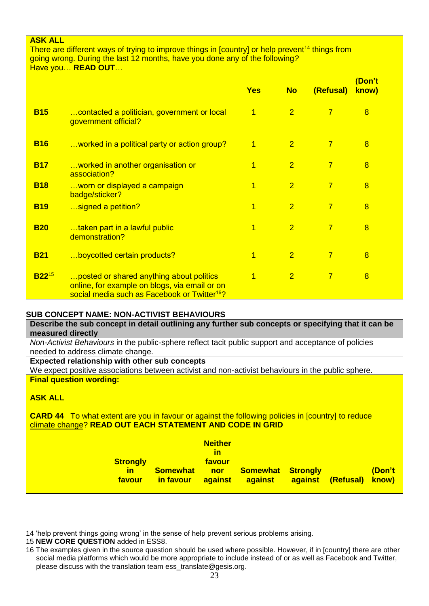### **ASK ALL**

There are different ways of trying to improve things in [country] or help prevent<sup>14</sup> things from going wrong. During the last 12 months, have you done any of the following*?* Have you… **READ OUT**…

|            |                                                                                                                                                       | <b>Yes</b>     | <b>No</b>      | (Refusal)      | (Don't<br>know) |
|------------|-------------------------------------------------------------------------------------------------------------------------------------------------------|----------------|----------------|----------------|-----------------|
| <b>B15</b> | contacted a politician, government or local<br>government official?                                                                                   | $\overline{1}$ | $\overline{2}$ | $\overline{7}$ | 8               |
| <b>B16</b> | worked in a political party or action group?                                                                                                          | 1              | $\overline{2}$ | $\overline{7}$ | 8               |
| <b>B17</b> | worked in another organisation or<br>association?                                                                                                     | 1              | $\overline{2}$ | $\overline{7}$ | 8               |
| <b>B18</b> | worn or displayed a campaign<br>badge/sticker?                                                                                                        | 1              | $\overline{2}$ | $\overline{7}$ | 8               |
| <b>B19</b> | signed a petition?                                                                                                                                    | 1              | $\overline{2}$ | $\overline{7}$ | 8               |
| <b>B20</b> | taken part in a lawful public<br>demonstration?                                                                                                       | 1              | $\overline{2}$ | $\overline{7}$ | $\overline{8}$  |
| <b>B21</b> | boycotted certain products?                                                                                                                           | $\overline{1}$ | $\overline{2}$ | $\overline{7}$ | 8               |
| $B22^{15}$ | posted or shared anything about politics<br>online, for example on blogs, via email or on<br>social media such as Facebook or Twitter <sup>16</sup> ? | 1              | $\overline{2}$ | $\overline{7}$ | 8               |

#### <span id="page-22-0"></span>**SUB CONCEPT NAME: NON-ACTIVIST BEHAVIOURS**

**Describe the sub concept in detail outlining any further sub concepts or specifying that it can be measured directly**

*Non-Activist Behaviours* in the public-sphere reflect tacit public support and acceptance of policies needed to address climate change.

## **Expected relationship with other sub concepts**

We expect positive associations between activist and non-activist behaviours in the public sphere. **Final question wording:**

## **ASK ALL**

1

**CARD 44** To what extent are you in favour or against the following policies in [country] to reduce climate change? **READ OUT EACH STATEMENT AND CODE IN GRID**

| <b>Somewhat</b><br>in favour | <b>Neither</b><br><u>in</u><br>favour<br><b>nor</b><br>against | <u>against</u> |                          | (Don't<br>know)          |
|------------------------------|----------------------------------------------------------------|----------------|--------------------------|--------------------------|
|                              |                                                                |                |                          |                          |
|                              |                                                                |                | <b>Somewhat Strongly</b> | <b>against (Refusal)</b> |

<sup>14</sup> 'help prevent things going wrong' in the sense of help prevent serious problems arising.

<sup>15</sup> **NEW CORE QUESTION** added in ESS8.

<sup>16</sup> The examples given in the source question should be used where possible. However, if in [country] there are other social media platforms which would be more appropriate to include instead of or as well as Facebook and Twitter, please discuss with the translation team [ess\\_translate@gesis.org.](mailto:ess_translate@gesis.org)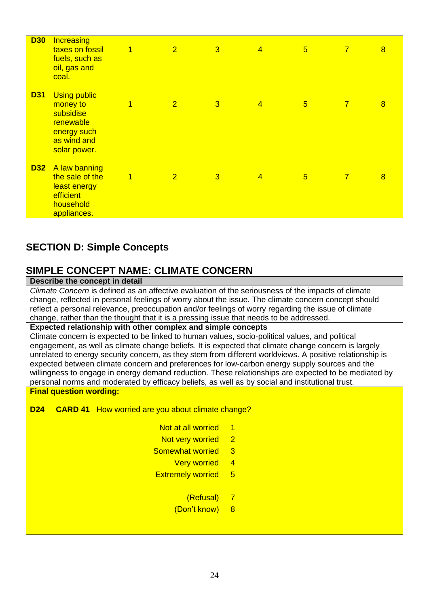| <b>D30</b> | Increasing<br>taxes on fossil<br>fuels, such as<br>oil, gas and<br>coal.                                | $\overline{1}$ | $\overline{2}$ | $\overline{3}$ | $\overline{4}$ | $5\overline{)}$ | $\overline{7}$ | $\overline{8}$ |
|------------|---------------------------------------------------------------------------------------------------------|----------------|----------------|----------------|----------------|-----------------|----------------|----------------|
| <b>D31</b> | <b>Using public</b><br>money to<br>subsidise<br>renewable<br>energy such<br>as wind and<br>solar power. | $\overline{1}$ | $\overline{2}$ | $\overline{3}$ | $\overline{4}$ | $5\overline{)}$ | $\overline{7}$ | $\overline{8}$ |
| <b>D32</b> | A law banning<br>the sale of the<br>least energy<br>efficient<br>household<br>appliances.               | $\overline{1}$ | $\overline{2}$ | $\overline{3}$ | $\overline{4}$ | $\overline{5}$  | $\overline{7}$ | $\overline{8}$ |

# <span id="page-23-0"></span>**SECTION D: Simple Concepts**

# <span id="page-23-1"></span>**SIMPLE CONCEPT NAME: CLIMATE CONCERN**

# **Describe the concept in detail**

*Climate Concern* is defined as an affective evaluation of the seriousness of the impacts of climate change, reflected in personal feelings of worry about the issue. The climate concern concept should reflect a personal relevance, preoccupation and/or feelings of worry regarding the issue of climate change, rather than the thought that it is a pressing issue that needs to be addressed.

#### **Expected relationship with other complex and simple concepts**

Climate concern is expected to be linked to human values, socio-political values, and political engagement, as well as climate change beliefs. It is expected that climate change concern is largely unrelated to energy security concern, as they stem from different worldviews. A positive relationship is expected between climate concern and preferences for low-carbon energy supply sources and the willingness to engage in energy demand reduction. These relationships are expected to be mediated by personal norms and moderated by efficacy beliefs, as well as by social and institutional trust. **Final question wording:**

**D24 CARD 41** How worried are you about climate change?

- Not at all worried 1
- Not very worried 2
- Somewhat worried 3
	- Very worried 4
- Extremely worried 5
	- (Refusal) 7
	- (Don't know) 8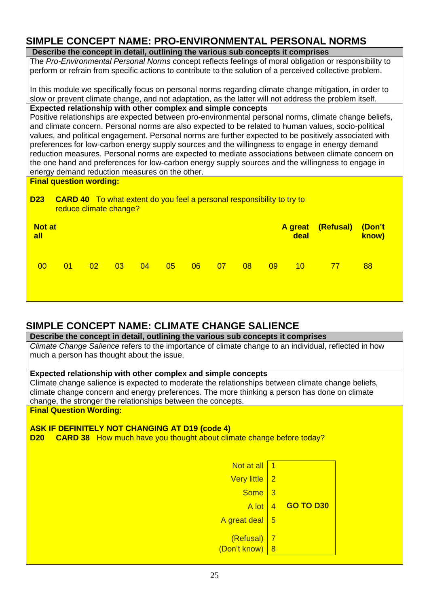# <span id="page-24-0"></span>**SIMPLE CONCEPT NAME: PRO-ENVIRONMENTAL PERSONAL NORMS**

**Describe the concept in detail, outlining the various sub concepts it comprises**

The *Pro-Environmental Personal Norms* concept reflects feelings of moral obligation or responsibility to perform or refrain from specific actions to contribute to the solution of a perceived collective problem.

In this module we specifically focus on personal norms regarding climate change mitigation, in order to slow or prevent climate change, and not adaptation, as the latter will not address the problem itself. **Expected relationship with other complex and simple concepts**

Positive relationships are expected between pro-environmental personal norms, climate change beliefs, and climate concern. Personal norms are also expected to be related to human values, socio-political values, and political engagement. Personal norms are further expected to be positively associated with preferences for low-carbon energy supply sources and the willingness to engage in energy demand reduction measures. Personal norms are expected to mediate associations between climate concern on the one hand and preferences for low-carbon energy supply sources and the willingness to engage in energy demand reduction measures on the other.

**Final question wording:**

## **D23 CARD 40** To what extent do you feel a personal responsibility to try to reduce climate change?

| <b>Not at</b><br>all |              |                 |    |    |    |    |    |    |    | deal | A great (Refusal) | (Don't<br>know) |
|----------------------|--------------|-----------------|----|----|----|----|----|----|----|------|-------------------|-----------------|
| 00                   | $ 01\rangle$ | 02 <sub>2</sub> | 03 | 04 | 05 | 06 | 07 | 08 | 09 | 10   | 77                | 88              |

# <span id="page-24-1"></span>**SIMPLE CONCEPT NAME: CLIMATE CHANGE SALIENCE**

| Describe the concept in detail, outlining the various sub concepts it comprises                       |                |                  |  |  |  |  |  |  |  |
|-------------------------------------------------------------------------------------------------------|----------------|------------------|--|--|--|--|--|--|--|
| Climate Change Salience refers to the importance of climate change to an individual, reflected in how |                |                  |  |  |  |  |  |  |  |
| much a person has thought about the issue.                                                            |                |                  |  |  |  |  |  |  |  |
|                                                                                                       |                |                  |  |  |  |  |  |  |  |
| Expected relationship with other complex and simple concepts                                          |                |                  |  |  |  |  |  |  |  |
| Climate change salience is expected to moderate the relationships between climate change beliefs,     |                |                  |  |  |  |  |  |  |  |
| climate change concern and energy preferences. The more thinking a person has done on climate         |                |                  |  |  |  |  |  |  |  |
| change, the stronger the relationships between the concepts.                                          |                |                  |  |  |  |  |  |  |  |
| <b>Final Question Wording:</b>                                                                        |                |                  |  |  |  |  |  |  |  |
|                                                                                                       |                |                  |  |  |  |  |  |  |  |
| <b>ASK IF DEFINITELY NOT CHANGING AT D19 (code 4)</b>                                                 |                |                  |  |  |  |  |  |  |  |
| <b>CARD 38</b> How much have you thought about climate change before today?<br>D20                    |                |                  |  |  |  |  |  |  |  |
|                                                                                                       |                |                  |  |  |  |  |  |  |  |
|                                                                                                       |                |                  |  |  |  |  |  |  |  |
| Not at all 1                                                                                          |                |                  |  |  |  |  |  |  |  |
| Very little   2                                                                                       |                |                  |  |  |  |  |  |  |  |
| Some $3$                                                                                              |                |                  |  |  |  |  |  |  |  |
|                                                                                                       |                |                  |  |  |  |  |  |  |  |
| A lot                                                                                                 | $\overline{4}$ | <b>GO TO D30</b> |  |  |  |  |  |  |  |
| A great deal 5                                                                                        |                |                  |  |  |  |  |  |  |  |
|                                                                                                       |                |                  |  |  |  |  |  |  |  |
| $(Refusal)$   7                                                                                       |                |                  |  |  |  |  |  |  |  |
| $(Don't know)$ 8                                                                                      |                |                  |  |  |  |  |  |  |  |
|                                                                                                       |                |                  |  |  |  |  |  |  |  |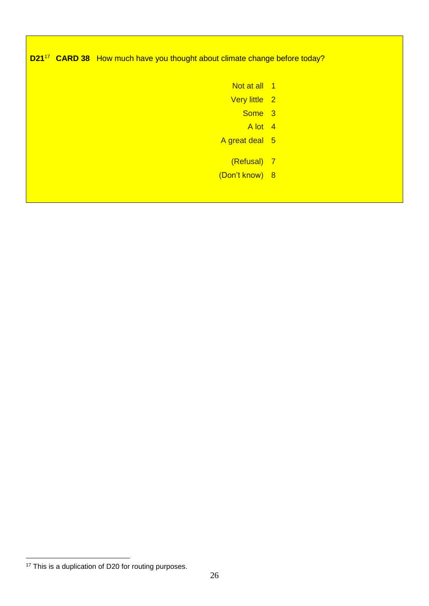| D21 <sup>17</sup> CARD 38 How much have you thought about climate change before today? |                |  |  |  |  |  |  |  |  |
|----------------------------------------------------------------------------------------|----------------|--|--|--|--|--|--|--|--|
|                                                                                        | Not at all 1   |  |  |  |  |  |  |  |  |
|                                                                                        | Very little 2  |  |  |  |  |  |  |  |  |
|                                                                                        | Some 3         |  |  |  |  |  |  |  |  |
|                                                                                        | A lot 4        |  |  |  |  |  |  |  |  |
|                                                                                        | A great deal 5 |  |  |  |  |  |  |  |  |
|                                                                                        | (Refusal) 7    |  |  |  |  |  |  |  |  |
|                                                                                        | (Don't know) 8 |  |  |  |  |  |  |  |  |
|                                                                                        |                |  |  |  |  |  |  |  |  |

<sup>1</sup> <sup>17</sup> This is a duplication of D20 for routing purposes.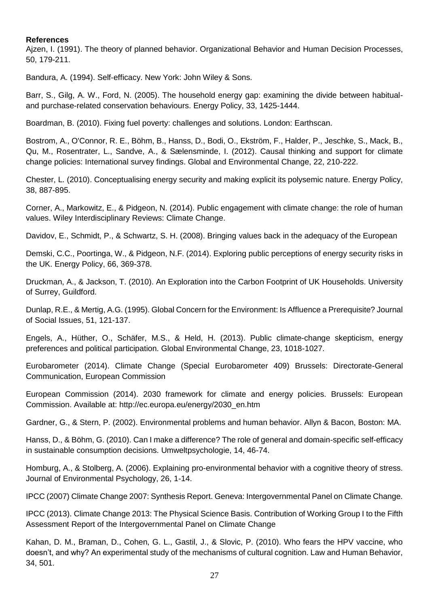#### <span id="page-26-0"></span>**References**

Ajzen, I. (1991). The theory of planned behavior. Organizational Behavior and Human Decision Processes, 50, 179-211.

Bandura, A. (1994). Self‐efficacy. New York: John Wiley & Sons.

Barr, S., Gilg, A. W., Ford, N. (2005). The household energy gap: examining the divide between habitualand purchase-related conservation behaviours. Energy Policy, 33, 1425-1444.

Boardman, B. (2010). Fixing fuel poverty: challenges and solutions. London: Earthscan.

Bostrom, A., O'Connor, R. E., Böhm, B., Hanss, D., Bodi, O., Ekström, F., Halder, P., Jeschke, S., Mack, B., Qu, M., Rosentrater, L., Sandve, A., & Sælensminde, I. (2012). Causal thinking and support for climate change policies: International survey findings. Global and Environmental Change, 22, 210-222.

Chester, L. (2010). Conceptualising energy security and making explicit its polysemic nature. Energy Policy, 38, 887-895.

Corner, A., Markowitz, E., & Pidgeon, N. (2014). Public engagement with climate change: the role of human values. Wiley Interdisciplinary Reviews: Climate Change.

Davidov, E., Schmidt, P., & Schwartz, S. H. (2008). Bringing values back in the adequacy of the European

Demski, C.C., Poortinga, W., & Pidgeon, N.F. (2014). Exploring public perceptions of energy security risks in the UK. Energy Policy, 66, 369-378.

Druckman, A., & Jackson, T. (2010). An Exploration into the Carbon Footprint of UK Households. University of Surrey, Guildford.

Dunlap, R.E., & Mertig, A.G. (1995). Global Concern for the Environment: Is Affluence a Prerequisite? Journal of Social Issues, 51, 121-137.

Engels, A., Hüther, O., Schäfer, M.S., & Held, H. (2013). Public climate-change skepticism, energy preferences and political participation. Global Environmental Change, 23, 1018-1027.

Eurobarometer (2014). Climate Change (Special Eurobarometer 409) Brussels: Directorate-General Communication, European Commission

European Commission (2014). 2030 framework for climate and energy policies. Brussels: European Commission. Available at: http://ec.europa.eu/energy/2030\_en.htm

Gardner, G., & Stern, P. (2002). Environmental problems and human behavior. Allyn & Bacon, Boston: MA.

Hanss, D., & Böhm, G. (2010). Can I make a difference? The role of general and domain-specific self-efficacy in sustainable consumption decisions. Umweltpsychologie, 14, 46-74.

Homburg, A., & Stolberg, A. (2006). Explaining pro-environmental behavior with a cognitive theory of stress. Journal of Environmental Psychology, 26, 1-14.

IPCC (2007) Climate Change 2007: Synthesis Report. Geneva: Intergovernmental Panel on Climate Change.

IPCC (2013). Climate Change 2013: The Physical Science Basis. Contribution of Working Group I to the Fifth Assessment Report of the Intergovernmental Panel on Climate Change

Kahan, D. M., Braman, D., Cohen, G. L., Gastil, J., & Slovic, P. (2010). Who fears the HPV vaccine, who doesn't, and why? An experimental study of the mechanisms of cultural cognition. Law and Human Behavior, 34, 501.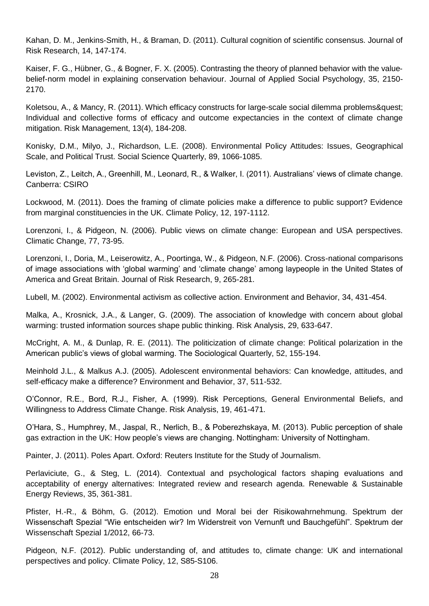Kahan, D. M., Jenkins‐Smith, H., & Braman, D. (2011). Cultural cognition of scientific consensus. Journal of Risk Research, 14, 147-174.

Kaiser, F. G., Hübner, G., & Bogner, F. X. (2005). Contrasting the theory of planned behavior with the value‐ belief-norm model in explaining conservation behaviour. Journal of Applied Social Psychology, 35, 2150-2170.

Koletsou, A., & Mancy, R. (2011). Which efficacy constructs for large-scale social dilemma problems? Individual and collective forms of efficacy and outcome expectancies in the context of climate change mitigation. Risk Management, 13(4), 184-208.

Konisky, D.M., Milyo, J., Richardson, L.E. (2008). Environmental Policy Attitudes: Issues, Geographical Scale, and Political Trust. Social Science Quarterly, 89, 1066-1085.

Leviston, Z., Leitch, A., Greenhill, M., Leonard, R., & Walker, I. (2011). Australians' views of climate change. Canberra: CSIRO

Lockwood, M. (2011). Does the framing of climate policies make a difference to public support? Evidence from marginal constituencies in the UK. Climate Policy, 12, 197-1112.

Lorenzoni, I., & Pidgeon, N. (2006). Public views on climate change: European and USA perspectives. Climatic Change, 77, 73-95.

Lorenzoni, I., Doria, M., Leiserowitz, A., Poortinga, W., & Pidgeon, N.F. (2006). Cross-national comparisons of image associations with 'global warming' and 'climate change' among laypeople in the United States of America and Great Britain. Journal of Risk Research, 9, 265-281.

Lubell, M. (2002). Environmental activism as collective action. Environment and Behavior, 34, 431-454.

Malka, A., Krosnick, J.A., & Langer, G. (2009). The association of knowledge with concern about global warming: trusted information sources shape public thinking. Risk Analysis, 29, 633-647.

McCright, A. M., & Dunlap, R. E. (2011). The politicization of climate change: Political polarization in the American public's views of global warming. The Sociological Quarterly, 52, 155-194.

Meinhold J.L., & Malkus A.J. (2005). Adolescent environmental behaviors: Can knowledge, attitudes, and self-efficacy make a difference? Environment and Behavior, 37, 511-532.

O'Connor, R.E., Bord, R.J., Fisher, A. (1999). Risk Perceptions, General Environmental Beliefs, and Willingness to Address Climate Change. Risk Analysis, 19, 461-471.

O'Hara, S., Humphrey, M., Jaspal, R., Nerlich, B., & Poberezhskaya, M. (2013). Public perception of shale gas extraction in the UK: How people's views are changing. Nottingham: University of Nottingham.

Painter, J. (2011). Poles Apart. Oxford: Reuters Institute for the Study of Journalism.

Perlaviciute, G., & Steg, L. (2014). Contextual and psychological factors shaping evaluations and acceptability of energy alternatives: Integrated review and research agenda. Renewable & Sustainable Energy Reviews, 35, 361-381.

Pfister, H.-R., & Böhm, G. (2012). Emotion und Moral bei der Risikowahrnehmung. Spektrum der Wissenschaft Spezial "Wie entscheiden wir? Im Widerstreit von Vernunft und Bauchgefühl". Spektrum der Wissenschaft Spezial 1/2012, 66-73.

Pidgeon, N.F. (2012). Public understanding of, and attitudes to, climate change: UK and international perspectives and policy. Climate Policy, 12, S85-S106.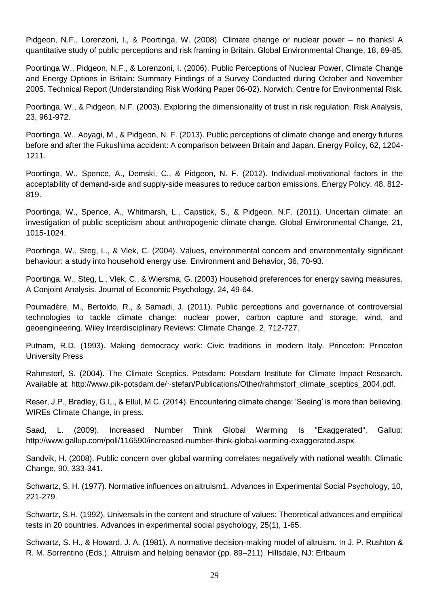Pidgeon, N.F., Lorenzoni, I., & Poortinga, W. (2008). Climate change or nuclear power – no thanks! A quantitative study of public perceptions and risk framing in Britain. Global Environmental Change, 18, 69-85.

Poortinga W., Pidgeon, N.F., & Lorenzoni, I. (2006). Public Perceptions of Nuclear Power, Climate Change and Energy Options in Britain: Summary Findings of a Survey Conducted during October and November 2005. Technical Report (Understanding Risk Working Paper 06-02). Norwich: Centre for Environmental Risk.

Poortinga, W., & Pidgeon, N.F. (2003). Exploring the dimensionality of trust in risk regulation. Risk Analysis, 23, 961-972.

Poortinga, W., Aoyagi, M., & Pidgeon, N. F. (2013). Public perceptions of climate change and energy futures before and after the Fukushima accident: A comparison between Britain and Japan. Energy Policy, 62, 1204- 1211.

Poortinga, W., Spence, A., Demski, C., & Pidgeon, N. F. (2012). Individual-motivational factors in the acceptability of demand-side and supply-side measures to reduce carbon emissions. Energy Policy, 48, 812- 819.

Poortinga, W., Spence, A., Whitmarsh, L., Capstick, S., & Pidgeon, N.F. (2011). Uncertain climate: an investigation of public scepticism about anthropogenic climate change. Global Environmental Change, 21, 1015-1024.

Poortinga, W., Steg, L., & Vlek, C. (2004). Values, environmental concern and environmentally significant behaviour: a study into household energy use. Environment and Behavior, 36, 70-93.

Poortinga, W., Steg, L., Vlek, C., & Wiersma, G. (2003) Household preferences for energy saving measures. A Conjoint Analysis. Journal of Economic Psychology, 24, 49-64.

Poumadère, M., Bertoldo, R., & Samadi, J. (2011). Public perceptions and governance of controversial technologies to tackle climate change: nuclear power, carbon capture and storage, wind, and geoengineering. Wiley Interdisciplinary Reviews: Climate Change, 2, 712-727.

Putnam, R.D. (1993). Making democracy work: Civic traditions in modern Italy. Princeton: Princeton University Press

Rahmstorf, S. (2004). The Climate Sceptics. Potsdam: Potsdam Institute for Climate Impact Research. Available at: http://www.pik-potsdam.de/~stefan/Publications/Other/rahmstorf\_climate\_sceptics\_2004.pdf.

Reser, J.P., Bradley, G.L., & Ellul, M.C. (2014). Encountering climate change: 'Seeing' is more than believing. WIREs Climate Change, in press.

Saad, L. (2009). Increased Number Think Global Warming Is "Exaggerated". Gallup: http://www.gallup.com/poll/116590/increased-number-think-global-warming-exaggerated.aspx.

Sandvik, H. (2008). Public concern over global warming correlates negatively with national wealth. Climatic Change, 90, 333-341.

Schwartz, S. H. (1977). Normative influences on altruism1. Advances in Experimental Social Psychology, 10, 221-279.

Schwartz, S.H. (1992). Universals in the content and structure of values: Theoretical advances and empirical tests in 20 countries. Advances in experimental social psychology, 25(1), 1-65.

Schwartz, S. H., & Howard, J. A. (1981). A normative decision-making model of altruism. In J. P. Rushton & R. M. Sorrentino (Eds.), Altruism and helping behavior (pp. 89–211). Hillsdale, NJ: Erlbaum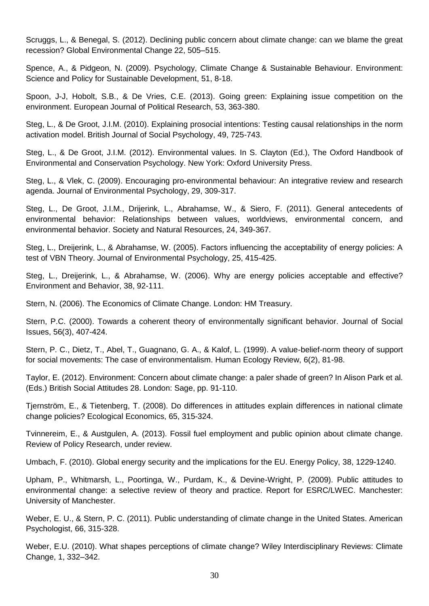Scruggs, L., & Benegal, S. (2012). Declining public concern about climate change: can we blame the great recession? Global Environmental Change 22, 505–515.

Spence, A., & Pidgeon, N. (2009). Psychology, Climate Change & Sustainable Behaviour. Environment: Science and Policy for Sustainable Development, 51, 8-18.

Spoon, J-J, Hobolt, S.B., & De Vries, C.E. (2013). Going green: Explaining issue competition on the environment. European Journal of Political Research, 53, 363-380.

Steg, L., & De Groot, J.I.M. (2010). Explaining prosocial intentions: Testing causal relationships in the norm activation model. British Journal of Social Psychology, 49, 725-743.

Steg, L., & De Groot, J.I.M. (2012). Environmental values. In S. Clayton (Ed.), The Oxford Handbook of Environmental and Conservation Psychology. New York: Oxford University Press.

Steg, L., & Vlek, C. (2009). Encouraging pro-environmental behaviour: An integrative review and research agenda. Journal of Environmental Psychology, 29, 309-317.

Steg, L., De Groot, J.I.M., Drijerink, L., Abrahamse, W., & Siero, F. (2011). General antecedents of environmental behavior: Relationships between values, worldviews, environmental concern, and environmental behavior. Society and Natural Resources, 24, 349-367.

Steg, L., Dreijerink, L., & Abrahamse, W. (2005). Factors influencing the acceptability of energy policies: A test of VBN Theory. Journal of Environmental Psychology, 25, 415-425.

Steg, L., Dreijerink, L., & Abrahamse, W. (2006). Why are energy policies acceptable and effective? Environment and Behavior, 38, 92-111.

Stern, N. (2006). The Economics of Climate Change. London: HM Treasury.

Stern, P.C. (2000). Towards a coherent theory of environmentally significant behavior. Journal of Social Issues, 56(3), 407-424.

Stern, P. C., Dietz, T., Abel, T., Guagnano, G. A., & Kalof, L. (1999). A value-belief-norm theory of support for social movements: The case of environmentalism. Human Ecology Review, 6(2), 81-98.

Taylor, E. (2012). Environment: Concern about climate change: a paler shade of green? In Alison Park et al. (Eds.) British Social Attitudes 28. London: Sage, pp. 91-110.

Tjernström, E., & Tietenberg, T. (2008). Do differences in attitudes explain differences in national climate change policies? Ecological Economics, 65, 315-324.

Tvinnereim, E., & Austgulen, A. (2013). Fossil fuel employment and public opinion about climate change. Review of Policy Research, under review.

Umbach, F. (2010). Global energy security and the implications for the EU. Energy Policy, 38, 1229-1240.

Upham, P., Whitmarsh, L., Poortinga, W., Purdam, K., & Devine-Wright, P. (2009). Public attitudes to environmental change: a selective review of theory and practice. Report for ESRC/LWEC. Manchester: University of Manchester.

Weber, E. U., & Stern, P. C. (2011). Public understanding of climate change in the United States. American Psychologist, 66, 315-328.

Weber, E.U. (2010). What shapes perceptions of climate change? Wiley Interdisciplinary Reviews: Climate Change, 1, 332–342.